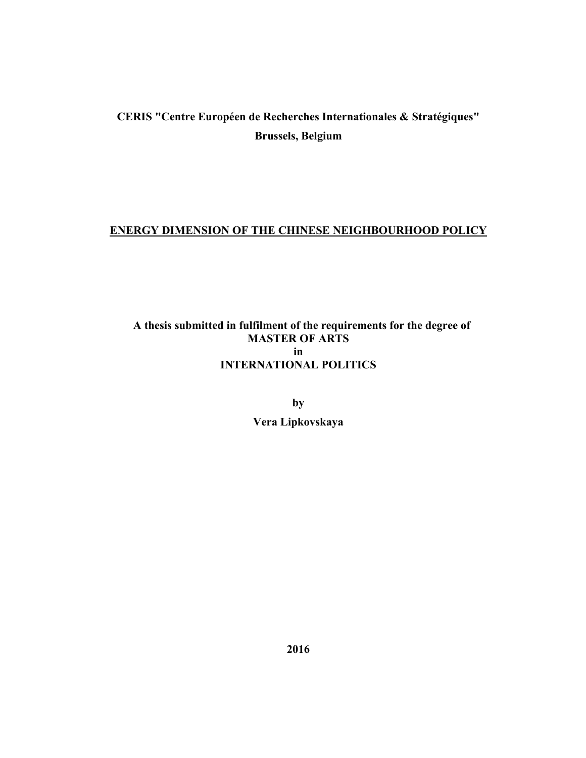## **CERIS "Centre Européen de Recherches Internationales & Stratégiques" Brussels, Belgium**

#### **ENERGY DIMENSION OF THE CHINESE NEIGHBOURHOOD POLICY**

## **A thesis submitted in fulfilment of the requirements for the degree of MASTER OF ARTS in INTERNATIONAL POLITICS**

**by Vera Lipkovskaya**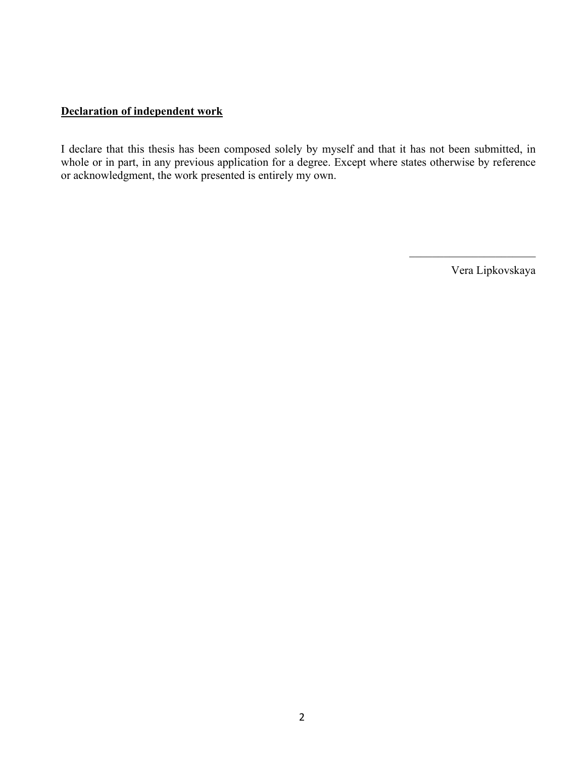#### **Declaration of independent work**

I declare that this thesis has been composed solely by myself and that it has not been submitted, in whole or in part, in any previous application for a degree. Except where states otherwise by reference or acknowledgment, the work presented is entirely my own.

Vera Lipkovskaya

 $\mathcal{L}_\text{max}$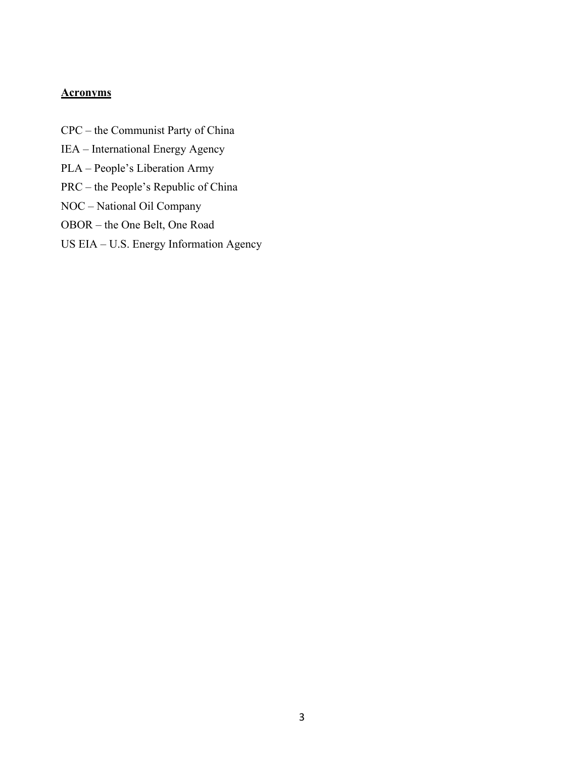## **Acronyms**

- CPC the Communist Party of China
- IEA International Energy Agency
- PLA People's Liberation Army
- PRC the People's Republic of China
- NOC National Oil Company
- OBOR the One Belt, One Road
- US EIA U.S. Energy Information Agency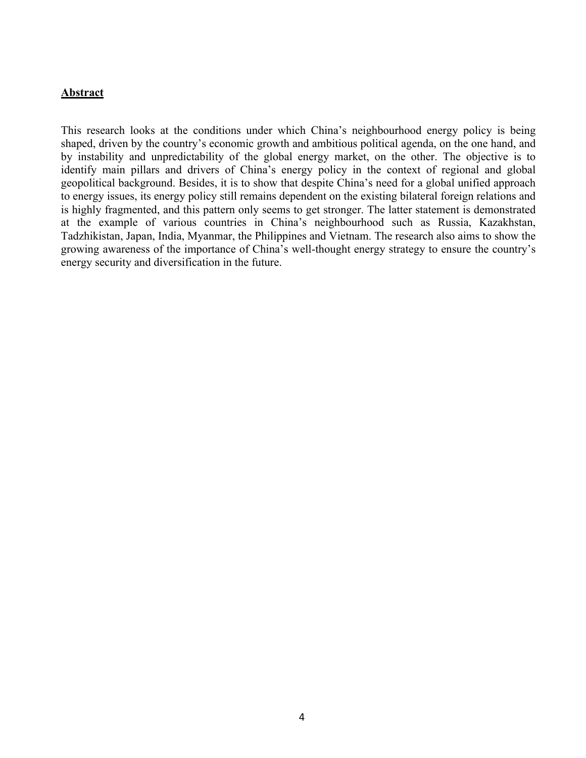#### **Abstract**

This research looks at the conditions under which China's neighbourhood energy policy is being shaped, driven by the country's economic growth and ambitious political agenda, on the one hand, and by instability and unpredictability of the global energy market, on the other. The objective is to identify main pillars and drivers of China's energy policy in the context of regional and global geopolitical background. Besides, it is to show that despite China's need for a global unified approach to energy issues, its energy policy still remains dependent on the existing bilateral foreign relations and is highly fragmented, and this pattern only seems to get stronger. The latter statement is demonstrated at the example of various countries in China's neighbourhood such as Russia, Kazakhstan, Tadzhikistan, Japan, India, Myanmar, the Philippines and Vietnam. The research also aims to show the growing awareness of the importance of China's well-thought energy strategy to ensure the country's energy security and diversification in the future.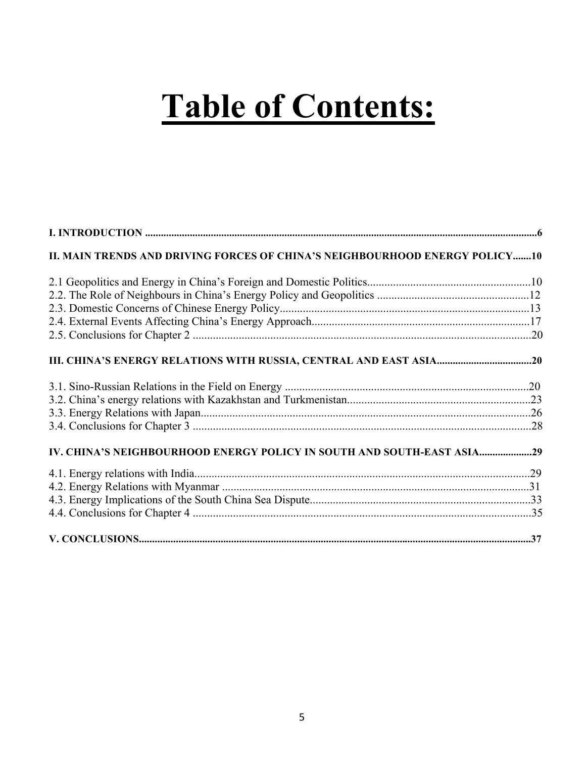# **Table of Contents:**

| II. MAIN TRENDS AND DRIVING FORCES OF CHINA'S NEIGHBOURHOOD ENERGY POLICY10 |  |
|-----------------------------------------------------------------------------|--|
|                                                                             |  |
|                                                                             |  |
|                                                                             |  |
|                                                                             |  |
|                                                                             |  |
|                                                                             |  |
|                                                                             |  |
|                                                                             |  |
|                                                                             |  |
|                                                                             |  |
| IV. CHINA'S NEIGHBOURHOOD ENERGY POLICY IN SOUTH AND SOUTH-EAST ASIA29      |  |
|                                                                             |  |
|                                                                             |  |
|                                                                             |  |
|                                                                             |  |
|                                                                             |  |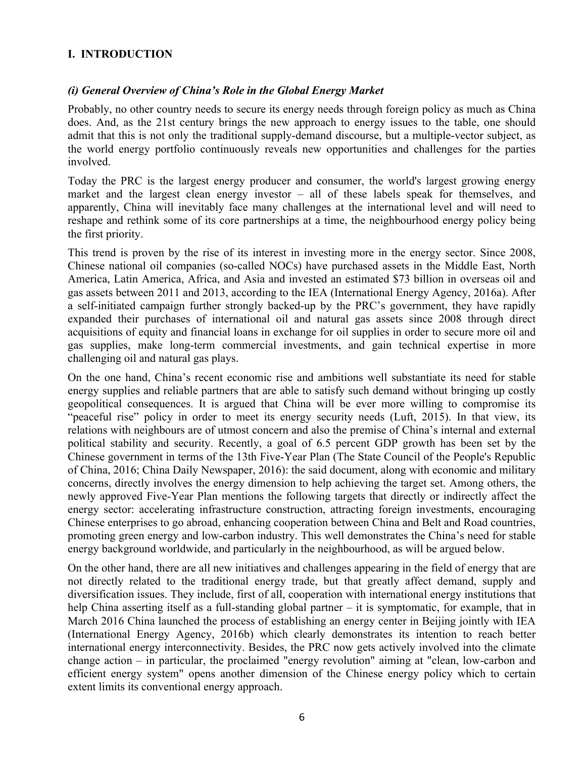#### **I. INTRODUCTION**

#### *(i) General Overview of China's Role in the Global Energy Market*

Probably, no other country needs to secure its energy needs through foreign policy as much as China does. And, as the 21st century brings the new approach to energy issues to the table, one should admit that this is not only the traditional supply-demand discourse, but a multiple-vector subject, as the world energy portfolio continuously reveals new opportunities and challenges for the parties involved.

Today the PRC is the largest energy producer and consumer, the world's largest growing energy market and the largest clean energy investor – all of these labels speak for themselves, and apparently, China will inevitably face many challenges at the international level and will need to reshape and rethink some of its core partnerships at a time, the neighbourhood energy policy being the first priority.

This trend is proven by the rise of its interest in investing more in the energy sector. Since 2008, Chinese national oil companies (so-called NOCs) have purchased assets in the Middle East, North America, Latin America, Africa, and Asia and invested an estimated \$73 billion in overseas oil and gas assets between 2011 and 2013, according to the IEA (International Energy Agency, 2016a). After a self-initiated campaign further strongly backed-up by the PRC's government, they have rapidly expanded their purchases of international oil and natural gas assets since 2008 through direct acquisitions of equity and financial loans in exchange for oil supplies in order to secure more oil and gas supplies, make long-term commercial investments, and gain technical expertise in more challenging oil and natural gas plays.

On the one hand, China's recent economic rise and ambitions well substantiate its need for stable energy supplies and reliable partners that are able to satisfy such demand without bringing up costly geopolitical consequences. It is argued that China will be ever more willing to compromise its "peaceful rise" policy in order to meet its energy security needs (Luft, 2015). In that view, its relations with neighbours are of utmost concern and also the premise of China's internal and external political stability and security. Recently, a goal of 6.5 percent GDP growth has been set by the Chinese government in terms of the 13th Five-Year Plan (The State Council of the People's Republic of China, 2016; China Daily Newspaper, 2016): the said document, along with economic and military concerns, directly involves the energy dimension to help achieving the target set. Among others, the newly approved Five-Year Plan mentions the following targets that directly or indirectly affect the energy sector: accelerating infrastructure construction, attracting foreign investments, encouraging Chinese enterprises to go abroad, enhancing cooperation between China and Belt and Road countries, promoting green energy and low-carbon industry. This well demonstrates the China's need for stable energy background worldwide, and particularly in the neighbourhood, as will be argued below.

On the other hand, there are all new initiatives and challenges appearing in the field of energy that are not directly related to the traditional energy trade, but that greatly affect demand, supply and diversification issues. They include, first of all, cooperation with international energy institutions that help China asserting itself as a full-standing global partner – it is symptomatic, for example, that in March 2016 China launched the process of establishing an energy center in Beijing jointly with IEA (International Energy Agency, 2016b) which clearly demonstrates its intention to reach better international energy interconnectivity. Besides, the PRC now gets actively involved into the climate change action – in particular, the proclaimed "energy revolution" aiming at "clean, low-carbon and efficient energy system" opens another dimension of the Chinese energy policy which to certain extent limits its conventional energy approach.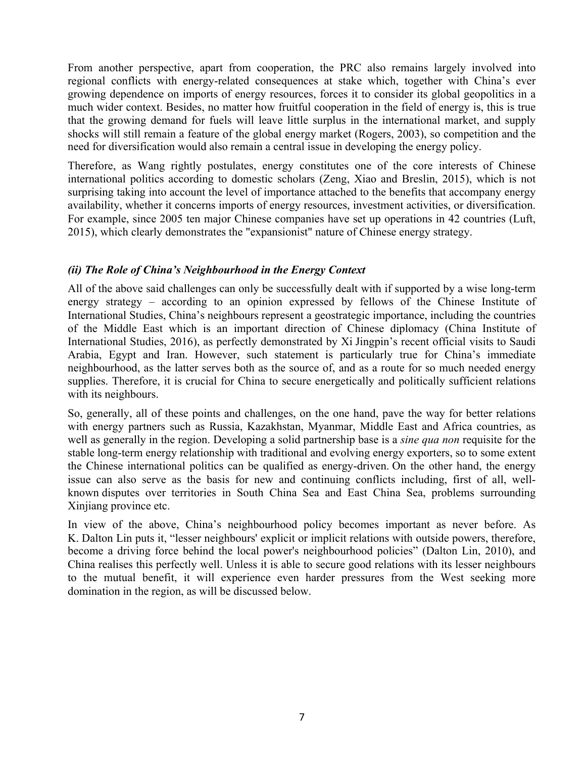From another perspective, apart from cooperation, the PRC also remains largely involved into regional conflicts with energy-related consequences at stake which, together with China's ever growing dependence on imports of energy resources, forces it to consider its global geopolitics in a much wider context. Besides, no matter how fruitful cooperation in the field of energy is, this is true that the growing demand for fuels will leave little surplus in the international market, and supply shocks will still remain a feature of the global energy market (Rogers, 2003), so competition and the need for diversification would also remain a central issue in developing the energy policy.

Therefore, as Wang rightly postulates, energy constitutes one of the core interests of Chinese international politics according to domestic scholars (Zeng, Xiao and Breslin, 2015), which is not surprising taking into account the level of importance attached to the benefits that accompany energy availability, whether it concerns imports of energy resources, investment activities, or diversification. For example, since 2005 ten major Chinese companies have set up operations in 42 countries (Luft, 2015), which clearly demonstrates the "expansionist" nature of Chinese energy strategy.

## *(ii) The Role of China's Neighbourhood in the Energy Context*

All of the above said challenges can only be successfully dealt with if supported by a wise long-term energy strategy – according to an opinion expressed by fellows of the Chinese Institute of International Studies, China's neighbours represent a geostrategic importance, including the countries of the Middle East which is an important direction of Chinese diplomacy (China Institute of International Studies, 2016), as perfectly demonstrated by Xi Jingpin's recent official visits to Saudi Arabia, Egypt and Iran. However, such statement is particularly true for China's immediate neighbourhood, as the latter serves both as the source of, and as a route for so much needed energy supplies. Therefore, it is crucial for China to secure energetically and politically sufficient relations with its neighbours.

So, generally, all of these points and challenges, on the one hand, pave the way for better relations with energy partners such as Russia, Kazakhstan, Myanmar, Middle East and Africa countries, as well as generally in the region. Developing a solid partnership base is a *sine qua non* requisite for the stable long-term energy relationship with traditional and evolving energy exporters, so to some extent the Chinese international politics can be qualified as energy-driven. On the other hand, the energy issue can also serve as the basis for new and continuing conflicts including, first of all, wellknown disputes over territories in South China Sea and East China Sea, problems surrounding Xinjiang province etc.

In view of the above, China's neighbourhood policy becomes important as never before. As K. Dalton Lin puts it, "lesser neighbours' explicit or implicit relations with outside powers, therefore, become a driving force behind the local power's neighbourhood policies" (Dalton Lin, 2010), and China realises this perfectly well. Unless it is able to secure good relations with its lesser neighbours to the mutual benefit, it will experience even harder pressures from the West seeking more domination in the region, as will be discussed below.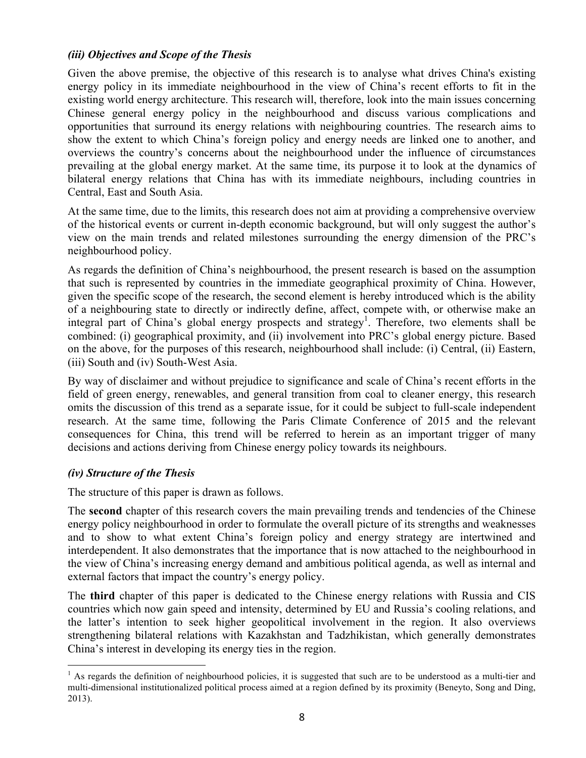#### *(iii) Objectives and Scope of the Thesis*

Given the above premise, the objective of this research is to analyse what drives China's existing energy policy in its immediate neighbourhood in the view of China's recent efforts to fit in the existing world energy architecture. This research will, therefore, look into the main issues concerning Chinese general energy policy in the neighbourhood and discuss various complications and opportunities that surround its energy relations with neighbouring countries. The research aims to show the extent to which China's foreign policy and energy needs are linked one to another, and overviews the country's concerns about the neighbourhood under the influence of circumstances prevailing at the global energy market. At the same time, its purpose it to look at the dynamics of bilateral energy relations that China has with its immediate neighbours, including countries in Central, East and South Asia.

At the same time, due to the limits, this research does not aim at providing a comprehensive overview of the historical events or current in-depth economic background, but will only suggest the author's view on the main trends and related milestones surrounding the energy dimension of the PRC's neighbourhood policy.

As regards the definition of China's neighbourhood, the present research is based on the assumption that such is represented by countries in the immediate geographical proximity of China. However, given the specific scope of the research, the second element is hereby introduced which is the ability of a neighbouring state to directly or indirectly define, affect, compete with, or otherwise make an integral part of China's global energy prospects and strategy<sup>1</sup>. Therefore, two elements shall be combined: (i) geographical proximity, and (ii) involvement into PRC's global energy picture. Based on the above, for the purposes of this research, neighbourhood shall include: (i) Central, (ii) Eastern, (iii) South and (iv) South-West Asia.

By way of disclaimer and without prejudice to significance and scale of China's recent efforts in the field of green energy, renewables, and general transition from coal to cleaner energy, this research omits the discussion of this trend as a separate issue, for it could be subject to full-scale independent research. At the same time, following the Paris Climate Conference of 2015 and the relevant consequences for China, this trend will be referred to herein as an important trigger of many decisions and actions deriving from Chinese energy policy towards its neighbours.

## *(iv) Structure of the Thesis*

The structure of this paper is drawn as follows.

The **second** chapter of this research covers the main prevailing trends and tendencies of the Chinese energy policy neighbourhood in order to formulate the overall picture of its strengths and weaknesses and to show to what extent China's foreign policy and energy strategy are intertwined and interdependent. It also demonstrates that the importance that is now attached to the neighbourhood in the view of China's increasing energy demand and ambitious political agenda, as well as internal and external factors that impact the country's energy policy.

The **third** chapter of this paper is dedicated to the Chinese energy relations with Russia and CIS countries which now gain speed and intensity, determined by EU and Russia's cooling relations, and the latter's intention to seek higher geopolitical involvement in the region. It also overviews strengthening bilateral relations with Kazakhstan and Tadzhikistan, which generally demonstrates China's interest in developing its energy ties in the region.

<sup>&</sup>lt;sup>1</sup> As regards the definition of neighbourhood policies, it is suggested that such are to be understood as a multi-tier and multi-dimensional institutionalized political process aimed at a region defined by its proximity (Beneyto, Song and Ding, 2013).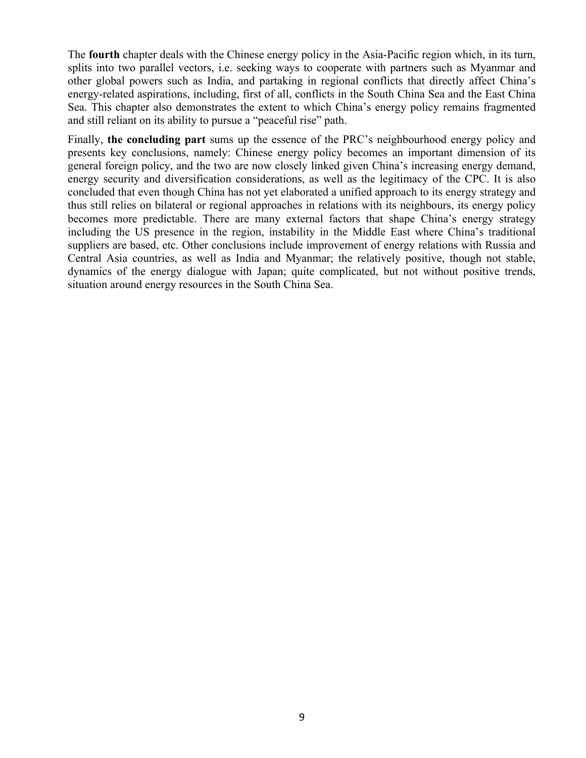The **fourth** chapter deals with the Chinese energy policy in the Asia-Pacific region which, in its turn, splits into two parallel vectors, i.e. seeking ways to cooperate with partners such as Myanmar and other global powers such as India, and partaking in regional conflicts that directly affect China's energy-related aspirations, including, first of all, conflicts in the South China Sea and the East China Sea. This chapter also demonstrates the extent to which China's energy policy remains fragmented and still reliant on its ability to pursue a "peaceful rise" path.

Finally, **the concluding part** sums up the essence of the PRC's neighbourhood energy policy and presents key conclusions, namely: Chinese energy policy becomes an important dimension of its general foreign policy, and the two are now closely linked given China's increasing energy demand, energy security and diversification considerations, as well as the legitimacy of the CPC. It is also concluded that even though China has not yet elaborated a unified approach to its energy strategy and thus still relies on bilateral or regional approaches in relations with its neighbours, its energy policy becomes more predictable. There are many external factors that shape China's energy strategy including the US presence in the region, instability in the Middle East where China's traditional suppliers are based, etc. Other conclusions include improvement of energy relations with Russia and Central Asia countries, as well as India and Myanmar; the relatively positive, though not stable, dynamics of the energy dialogue with Japan; quite complicated, but not without positive trends, situation around energy resources in the South China Sea.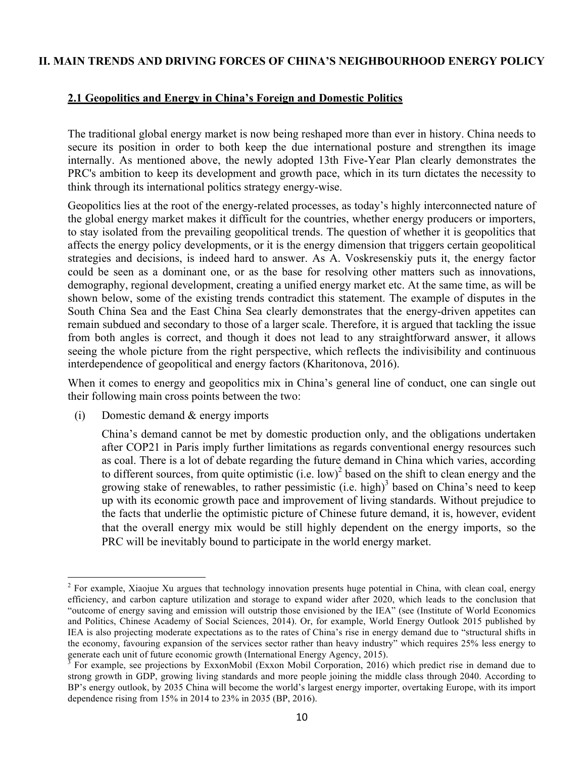#### **II. MAIN TRENDS AND DRIVING FORCES OF CHINA'S NEIGHBOURHOOD ENERGY POLICY**

#### **2.1 Geopolitics and Energy in China's Foreign and Domestic Politics**

The traditional global energy market is now being reshaped more than ever in history. China needs to secure its position in order to both keep the due international posture and strengthen its image internally. As mentioned above, the newly adopted 13th Five-Year Plan clearly demonstrates the PRC's ambition to keep its development and growth pace, which in its turn dictates the necessity to think through its international politics strategy energy-wise.

Geopolitics lies at the root of the energy-related processes, as today's highly interconnected nature of the global energy market makes it difficult for the countries, whether energy producers or importers, to stay isolated from the prevailing geopolitical trends. The question of whether it is geopolitics that affects the energy policy developments, or it is the energy dimension that triggers certain geopolitical strategies and decisions, is indeed hard to answer. As A. Voskresenskiy puts it, the energy factor could be seen as a dominant one, or as the base for resolving other matters such as innovations, demography, regional development, creating a unified energy market etc. At the same time, as will be shown below, some of the existing trends contradict this statement. The example of disputes in the South China Sea and the East China Sea clearly demonstrates that the energy-driven appetites can remain subdued and secondary to those of a larger scale. Therefore, it is argued that tackling the issue from both angles is correct, and though it does not lead to any straightforward answer, it allows seeing the whole picture from the right perspective, which reflects the indivisibility and continuous interdependence of geopolitical and energy factors (Kharitonova, 2016).

When it comes to energy and geopolitics mix in China's general line of conduct, one can single out their following main cross points between the two:

(i) Domestic demand & energy imports

China's demand cannot be met by domestic production only, and the obligations undertaken after COP21 in Paris imply further limitations as regards conventional energy resources such as coal. There is a lot of debate regarding the future demand in China which varies, according to different sources, from quite optimistic (i.e. low)<sup>2</sup> based on the shift to clean energy and the growing stake of renewables, to rather pessimistic (i.e. high)<sup>3</sup> based on China's need to keep up with its economic growth pace and improvement of living standards. Without prejudice to the facts that underlie the optimistic picture of Chinese future demand, it is, however, evident that the overall energy mix would be still highly dependent on the energy imports, so the PRC will be inevitably bound to participate in the world energy market.

<sup>&</sup>lt;sup>2</sup> For example, Xiaojue Xu argues that technology innovation presents huge potential in China, with clean coal, energy efficiency, and carbon capture utilization and storage to expand wider after 2020, which leads to the conclusion that "outcome of energy saving and emission will outstrip those envisioned by the IEA" (see (Institute of World Economics and Politics, Chinese Academy of Social Sciences, 2014). Or, for example, World Energy Outlook 2015 published by IEA is also projecting moderate expectations as to the rates of China's rise in energy demand due to "structural shifts in the economy, favouring expansion of the services sector rather than heavy industry" which requires 25% less energy to generate each unit of future economic growth (International Energy Agency, 2015).

<sup>&</sup>lt;sup>3</sup> For example, see projections by ExxonMobil (Exxon Mobil Corporation, 2016) which predict rise in demand due to strong growth in GDP, growing living standards and more people joining the middle class through 2040. According to BP's energy outlook, by 2035 China will become the world's largest energy importer, overtaking Europe, with its import dependence rising from 15% in 2014 to 23% in 2035 (BP, 2016).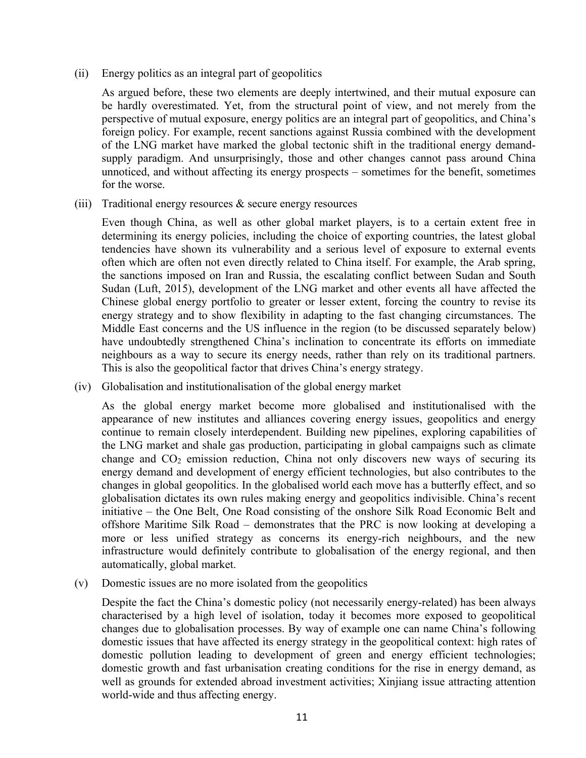(ii) Energy politics as an integral part of geopolitics

As argued before, these two elements are deeply intertwined, and their mutual exposure can be hardly overestimated. Yet, from the structural point of view, and not merely from the perspective of mutual exposure, energy politics are an integral part of geopolitics, and China's foreign policy. For example, recent sanctions against Russia combined with the development of the LNG market have marked the global tectonic shift in the traditional energy demandsupply paradigm. And unsurprisingly, those and other changes cannot pass around China unnoticed, and without affecting its energy prospects – sometimes for the benefit, sometimes for the worse.

(iii) Traditional energy resources & secure energy resources

Even though China, as well as other global market players, is to a certain extent free in determining its energy policies, including the choice of exporting countries, the latest global tendencies have shown its vulnerability and a serious level of exposure to external events often which are often not even directly related to China itself. For example, the Arab spring, the sanctions imposed on Iran and Russia, the escalating conflict between Sudan and South Sudan (Luft, 2015), development of the LNG market and other events all have affected the Chinese global energy portfolio to greater or lesser extent, forcing the country to revise its energy strategy and to show flexibility in adapting to the fast changing circumstances. The Middle East concerns and the US influence in the region (to be discussed separately below) have undoubtedly strengthened China's inclination to concentrate its efforts on immediate neighbours as a way to secure its energy needs, rather than rely on its traditional partners. This is also the geopolitical factor that drives China's energy strategy.

(iv) Globalisation and institutionalisation of the global energy market

As the global energy market become more globalised and institutionalised with the appearance of new institutes and alliances covering energy issues, geopolitics and energy continue to remain closely interdependent. Building new pipelines, exploring capabilities of the LNG market and shale gas production, participating in global campaigns such as climate change and  $CO<sub>2</sub>$  emission reduction. China not only discovers new ways of securing its energy demand and development of energy efficient technologies, but also contributes to the changes in global geopolitics. In the globalised world each move has a butterfly effect, and so globalisation dictates its own rules making energy and geopolitics indivisible. China's recent initiative – the One Belt, One Road consisting of the onshore Silk Road Economic Belt and offshore Maritime Silk Road – demonstrates that the PRC is now looking at developing a more or less unified strategy as concerns its energy-rich neighbours, and the new infrastructure would definitely contribute to globalisation of the energy regional, and then automatically, global market.

(v) Domestic issues are no more isolated from the geopolitics

Despite the fact the China's domestic policy (not necessarily energy-related) has been always characterised by a high level of isolation, today it becomes more exposed to geopolitical changes due to globalisation processes. By way of example one can name China's following domestic issues that have affected its energy strategy in the geopolitical context: high rates of domestic pollution leading to development of green and energy efficient technologies; domestic growth and fast urbanisation creating conditions for the rise in energy demand, as well as grounds for extended abroad investment activities; Xinjiang issue attracting attention world-wide and thus affecting energy.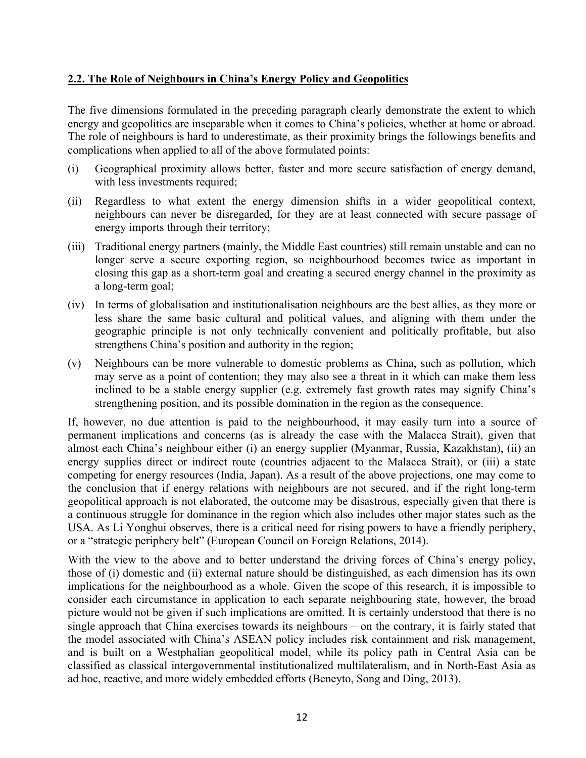## **2.2. The Role of Neighbours in China's Energy Policy and Geopolitics**

The five dimensions formulated in the preceding paragraph clearly demonstrate the extent to which energy and geopolitics are inseparable when it comes to China's policies, whether at home or abroad. The role of neighbours is hard to underestimate, as their proximity brings the followings benefits and complications when applied to all of the above formulated points:

- (i) Geographical proximity allows better, faster and more secure satisfaction of energy demand, with less investments required;
- (ii) Regardless to what extent the energy dimension shifts in a wider geopolitical context, neighbours can never be disregarded, for they are at least connected with secure passage of energy imports through their territory;
- (iii) Traditional energy partners (mainly, the Middle East countries) still remain unstable and can no longer serve a secure exporting region, so neighbourhood becomes twice as important in closing this gap as a short-term goal and creating a secured energy channel in the proximity as a long-term goal;
- (iv) In terms of globalisation and institutionalisation neighbours are the best allies, as they more or less share the same basic cultural and political values, and aligning with them under the geographic principle is not only technically convenient and politically profitable, but also strengthens China's position and authority in the region;
- (v) Neighbours can be more vulnerable to domestic problems as China, such as pollution, which may serve as a point of contention; they may also see a threat in it which can make them less inclined to be a stable energy supplier (e.g. extremely fast growth rates may signify China's strengthening position, and its possible domination in the region as the consequence.

If, however, no due attention is paid to the neighbourhood, it may easily turn into a source of permanent implications and concerns (as is already the case with the Malacca Strait), given that almost each China's neighbour either (i) an energy supplier (Myanmar, Russia, Kazakhstan), (ii) an energy supplies direct or indirect route (countries adjacent to the Malacca Strait), or (iii) a state competing for energy resources (India, Japan). As a result of the above projections, one may come to the conclusion that if energy relations with neighbours are not secured, and if the right long-term geopolitical approach is not elaborated, the outcome may be disastrous, especially given that there is a continuous struggle for dominance in the region which also includes other major states such as the USA. As Li Yonghui observes, there is a critical need for rising powers to have a friendly periphery, or a "strategic periphery belt" (European Council on Foreign Relations, 2014).

With the view to the above and to better understand the driving forces of China's energy policy, those of (i) domestic and (ii) external nature should be distinguished, as each dimension has its own implications for the neighbourhood as a whole. Given the scope of this research, it is impossible to consider each circumstance in application to each separate neighbouring state, however, the broad picture would not be given if such implications are omitted. It is certainly understood that there is no single approach that China exercises towards its neighbours – on the contrary, it is fairly stated that the model associated with China's ASEAN policy includes risk containment and risk management, and is built on a Westphalian geopolitical model, while its policy path in Central Asia can be classified as classical intergovernmental institutionalized multilateralism, and in North-East Asia as ad hoc, reactive, and more widely embedded efforts (Beneyto, Song and Ding, 2013).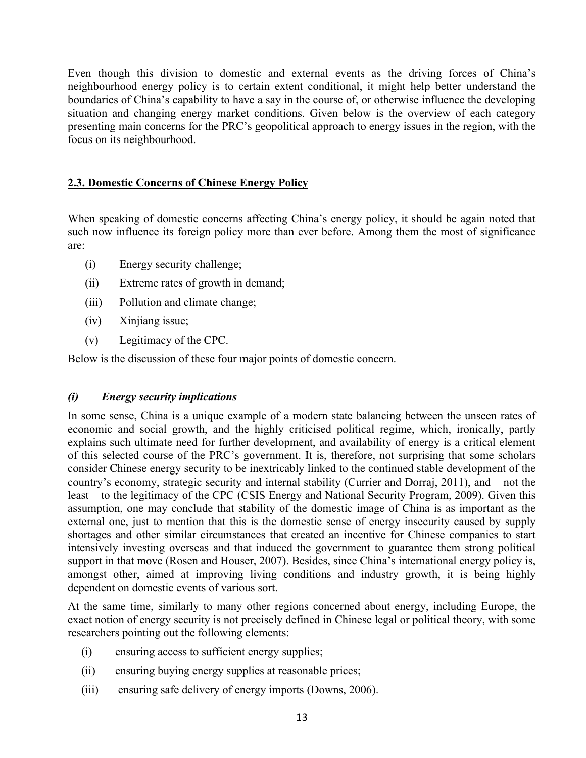Even though this division to domestic and external events as the driving forces of China's neighbourhood energy policy is to certain extent conditional, it might help better understand the boundaries of China's capability to have a say in the course of, or otherwise influence the developing situation and changing energy market conditions. Given below is the overview of each category presenting main concerns for the PRC's geopolitical approach to energy issues in the region, with the focus on its neighbourhood.

## **2.3. Domestic Concerns of Chinese Energy Policy**

When speaking of domestic concerns affecting China's energy policy, it should be again noted that such now influence its foreign policy more than ever before. Among them the most of significance are:

- (i) Energy security challenge;
- (ii) Extreme rates of growth in demand;
- (iii) Pollution and climate change;
- (iv) Xinjiang issue;
- (v) Legitimacy of the CPC.

Below is the discussion of these four major points of domestic concern.

## *(i) Energy security implications*

In some sense, China is a unique example of a modern state balancing between the unseen rates of economic and social growth, and the highly criticised political regime, which, ironically, partly explains such ultimate need for further development, and availability of energy is a critical element of this selected course of the PRC's government. It is, therefore, not surprising that some scholars consider Chinese energy security to be inextricably linked to the continued stable development of the country's economy, strategic security and internal stability (Currier and Dorraj, 2011), and – not the least – to the legitimacy of the CPC (CSIS Energy and National Security Program, 2009). Given this assumption, one may conclude that stability of the domestic image of China is as important as the external one, just to mention that this is the domestic sense of energy insecurity caused by supply shortages and other similar circumstances that created an incentive for Chinese companies to start intensively investing overseas and that induced the government to guarantee them strong political support in that move (Rosen and Houser, 2007). Besides, since China's international energy policy is, amongst other, aimed at improving living conditions and industry growth, it is being highly dependent on domestic events of various sort.

At the same time, similarly to many other regions concerned about energy, including Europe, the exact notion of energy security is not precisely defined in Chinese legal or political theory, with some researchers pointing out the following elements:

- (i) ensuring access to sufficient energy supplies;
- (ii) ensuring buying energy supplies at reasonable prices;
- (iii) ensuring safe delivery of energy imports (Downs, 2006).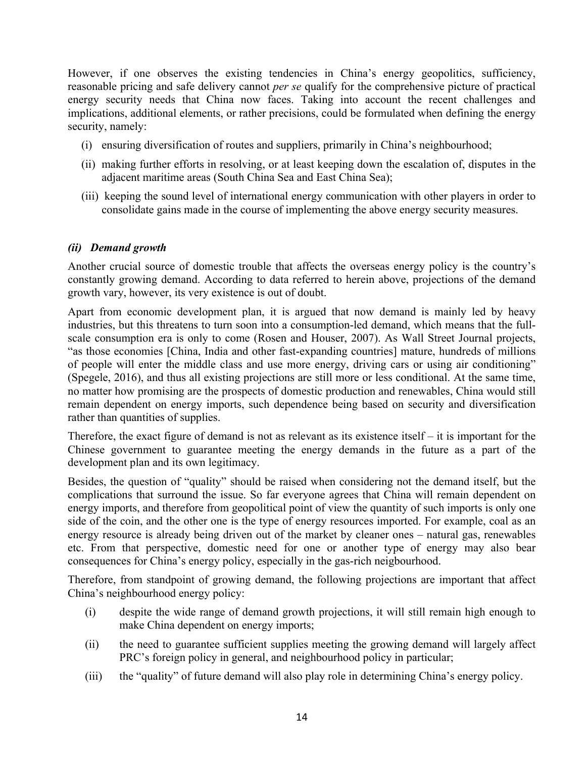However, if one observes the existing tendencies in China's energy geopolitics, sufficiency, reasonable pricing and safe delivery cannot *per se* qualify for the comprehensive picture of practical energy security needs that China now faces. Taking into account the recent challenges and implications, additional elements, or rather precisions, could be formulated when defining the energy security, namely:

- (i) ensuring diversification of routes and suppliers, primarily in China's neighbourhood;
- (ii) making further efforts in resolving, or at least keeping down the escalation of, disputes in the adjacent maritime areas (South China Sea and East China Sea);
- (iii) keeping the sound level of international energy communication with other players in order to consolidate gains made in the course of implementing the above energy security measures.

#### *(ii) Demand growth*

Another crucial source of domestic trouble that affects the overseas energy policy is the country's constantly growing demand. According to data referred to herein above, projections of the demand growth vary, however, its very existence is out of doubt.

Apart from economic development plan, it is argued that now demand is mainly led by heavy industries, but this threatens to turn soon into a consumption-led demand, which means that the fullscale consumption era is only to come (Rosen and Houser, 2007). As Wall Street Journal projects, "as those economies [China, India and other fast-expanding countries] mature, hundreds of millions of people will enter the middle class and use more energy, driving cars or using air conditioning" (Spegele, 2016), and thus all existing projections are still more or less conditional. At the same time, no matter how promising are the prospects of domestic production and renewables, China would still remain dependent on energy imports, such dependence being based on security and diversification rather than quantities of supplies.

Therefore, the exact figure of demand is not as relevant as its existence itself – it is important for the Chinese government to guarantee meeting the energy demands in the future as a part of the development plan and its own legitimacy.

Besides, the question of "quality" should be raised when considering not the demand itself, but the complications that surround the issue. So far everyone agrees that China will remain dependent on energy imports, and therefore from geopolitical point of view the quantity of such imports is only one side of the coin, and the other one is the type of energy resources imported. For example, coal as an energy resource is already being driven out of the market by cleaner ones – natural gas, renewables etc. From that perspective, domestic need for one or another type of energy may also bear consequences for China's energy policy, especially in the gas-rich neigbourhood.

Therefore, from standpoint of growing demand, the following projections are important that affect China's neighbourhood energy policy:

- (i) despite the wide range of demand growth projections, it will still remain high enough to make China dependent on energy imports;
- (ii) the need to guarantee sufficient supplies meeting the growing demand will largely affect PRC's foreign policy in general, and neighbourhood policy in particular;
- (iii) the "quality" of future demand will also play role in determining China's energy policy.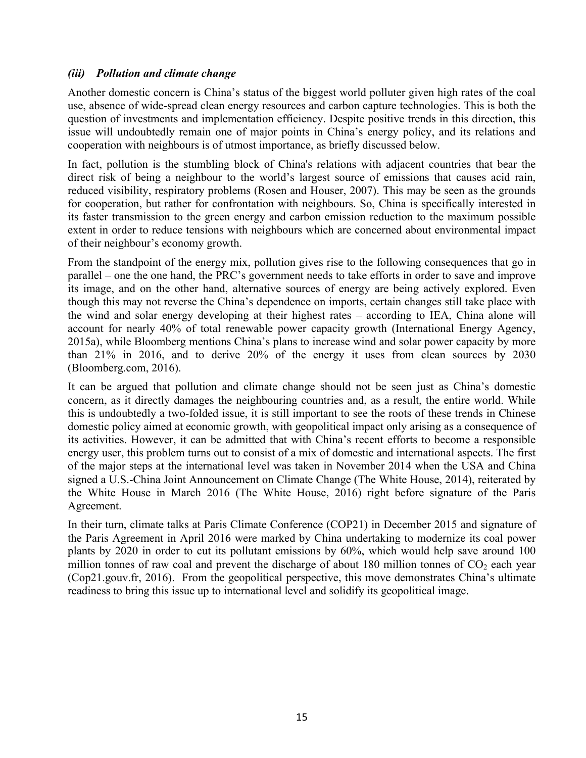## *(iii) Pollution and climate change*

Another domestic concern is China's status of the biggest world polluter given high rates of the coal use, absence of wide-spread clean energy resources and carbon capture technologies. This is both the question of investments and implementation efficiency. Despite positive trends in this direction, this issue will undoubtedly remain one of major points in China's energy policy, and its relations and cooperation with neighbours is of utmost importance, as briefly discussed below.

In fact, pollution is the stumbling block of China's relations with adjacent countries that bear the direct risk of being a neighbour to the world's largest source of emissions that causes acid rain, reduced visibility, respiratory problems (Rosen and Houser, 2007). This may be seen as the grounds for cooperation, but rather for confrontation with neighbours. So, China is specifically interested in its faster transmission to the green energy and carbon emission reduction to the maximum possible extent in order to reduce tensions with neighbours which are concerned about environmental impact of their neighbour's economy growth.

From the standpoint of the energy mix, pollution gives rise to the following consequences that go in parallel – one the one hand, the PRC's government needs to take efforts in order to save and improve its image, and on the other hand, alternative sources of energy are being actively explored. Even though this may not reverse the China's dependence on imports, certain changes still take place with the wind and solar energy developing at their highest rates – according to IEA, China alone will account for nearly 40% of total renewable power capacity growth (International Energy Agency, 2015a), while Bloomberg mentions China's plans to increase wind and solar power capacity by more than 21% in 2016, and to derive 20% of the energy it uses from clean sources by 2030 (Bloomberg.com, 2016).

It can be argued that pollution and climate change should not be seen just as China's domestic concern, as it directly damages the neighbouring countries and, as a result, the entire world. While this is undoubtedly a two-folded issue, it is still important to see the roots of these trends in Chinese domestic policy aimed at economic growth, with geopolitical impact only arising as a consequence of its activities. However, it can be admitted that with China's recent efforts to become a responsible energy user, this problem turns out to consist of a mix of domestic and international aspects. The first of the major steps at the international level was taken in November 2014 when the USA and China signed a U.S.-China Joint Announcement on Climate Change (The White House, 2014), reiterated by the White House in March 2016 (The White House, 2016) right before signature of the Paris Agreement.

In their turn, climate talks at Paris Climate Conference (COP21) in December 2015 and signature of the Paris Agreement in April 2016 were marked by China undertaking to modernize its coal power plants by 2020 in order to cut its pollutant emissions by 60%, which would help save around 100 million tonnes of raw coal and prevent the discharge of about 180 million tonnes of  $CO<sub>2</sub>$  each year (Cop21.gouv.fr, 2016). From the geopolitical perspective, this move demonstrates China's ultimate readiness to bring this issue up to international level and solidify its geopolitical image.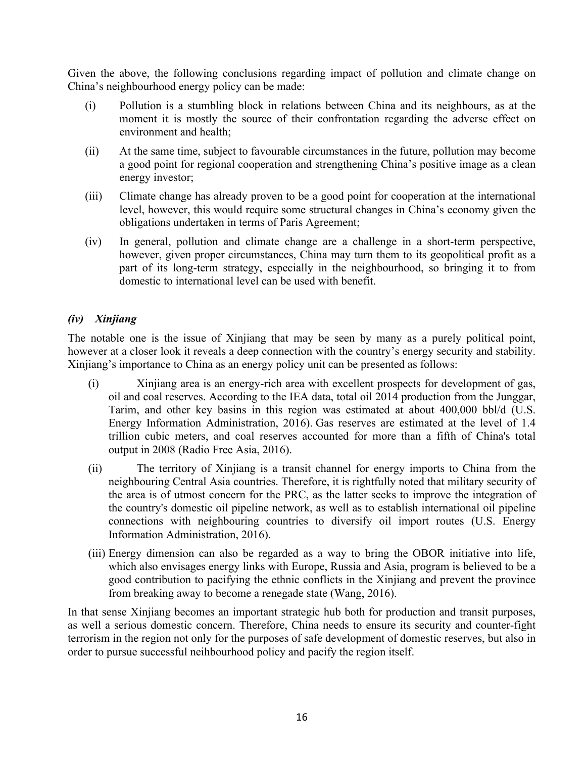Given the above, the following conclusions regarding impact of pollution and climate change on China's neighbourhood energy policy can be made:

- (i) Pollution is a stumbling block in relations between China and its neighbours, as at the moment it is mostly the source of their confrontation regarding the adverse effect on environment and health;
- (ii) At the same time, subject to favourable circumstances in the future, pollution may become a good point for regional cooperation and strengthening China's positive image as a clean energy investor;
- (iii) Climate change has already proven to be a good point for cooperation at the international level, however, this would require some structural changes in China's economy given the obligations undertaken in terms of Paris Agreement;
- (iv) In general, pollution and climate change are a challenge in a short-term perspective, however, given proper circumstances, China may turn them to its geopolitical profit as a part of its long-term strategy, especially in the neighbourhood, so bringing it to from domestic to international level can be used with benefit.

## *(iv) Xinjiang*

The notable one is the issue of Xinjiang that may be seen by many as a purely political point, however at a closer look it reveals a deep connection with the country's energy security and stability. Xinjiang's importance to China as an energy policy unit can be presented as follows:

- (i) Xinjiang area is an energy-rich area with excellent prospects for development of gas, oil and coal reserves. According to the IEA data, total oil 2014 production from the Junggar, Tarim, and other key basins in this region was estimated at about 400,000 bbl/d (U.S. Energy Information Administration, 2016). Gas reserves are estimated at the level of 1.4 trillion cubic meters, and coal reserves accounted for more than a fifth of China's total output in 2008 (Radio Free Asia, 2016).
- (ii) The territory of Xinjiang is a transit channel for energy imports to China from the neighbouring Central Asia countries. Therefore, it is rightfully noted that military security of the area is of utmost concern for the PRC, as the latter seeks to improve the integration of the country's domestic oil pipeline network, as well as to establish international oil pipeline connections with neighbouring countries to diversify oil import routes (U.S. Energy Information Administration, 2016).
- (iii) Energy dimension can also be regarded as a way to bring the OBOR initiative into life, which also envisages energy links with Europe, Russia and Asia, program is believed to be a good contribution to pacifying the ethnic conflicts in the Xinjiang and prevent the province from breaking away to become a renegade state (Wang, 2016).

In that sense Xinjiang becomes an important strategic hub both for production and transit purposes, as well a serious domestic concern. Therefore, China needs to ensure its security and counter-fight terrorism in the region not only for the purposes of safe development of domestic reserves, but also in order to pursue successful neihbourhood policy and pacify the region itself.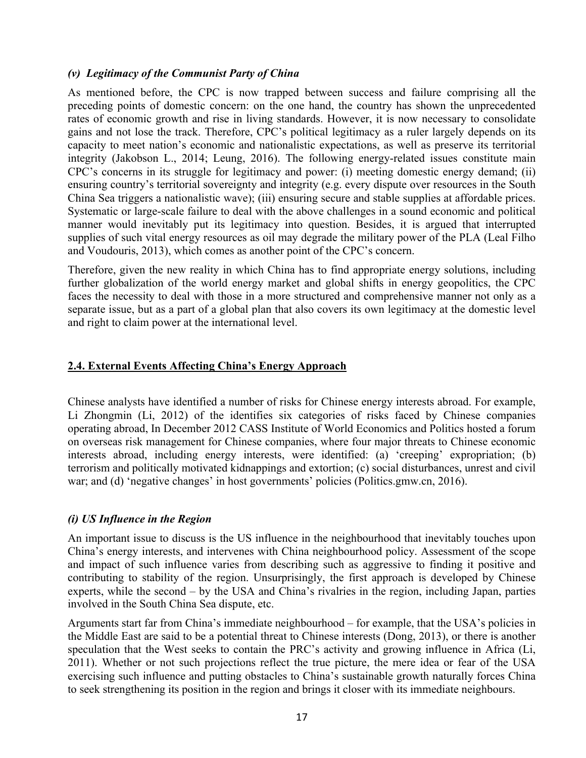#### *(v) Legitimacy of the Communist Party of China*

As mentioned before, the CPC is now trapped between success and failure comprising all the preceding points of domestic concern: on the one hand, the country has shown the unprecedented rates of economic growth and rise in living standards. However, it is now necessary to consolidate gains and not lose the track. Therefore, CPC's political legitimacy as a ruler largely depends on its capacity to meet nation's economic and nationalistic expectations, as well as preserve its territorial integrity (Jakobson L., 2014; Leung, 2016). The following energy-related issues constitute main CPC's concerns in its struggle for legitimacy and power: (i) meeting domestic energy demand; (ii) ensuring country's territorial sovereignty and integrity (e.g. every dispute over resources in the South China Sea triggers a nationalistic wave); (iii) ensuring secure and stable supplies at affordable prices. Systematic or large-scale failure to deal with the above challenges in a sound economic and political manner would inevitably put its legitimacy into question. Besides, it is argued that interrupted supplies of such vital energy resources as oil may degrade the military power of the PLA (Leal Filho and Voudouris, 2013), which comes as another point of the CPC's concern.

Therefore, given the new reality in which China has to find appropriate energy solutions, including further globalization of the world energy market and global shifts in energy geopolitics, the CPC faces the necessity to deal with those in a more structured and comprehensive manner not only as a separate issue, but as a part of a global plan that also covers its own legitimacy at the domestic level and right to claim power at the international level.

## **2.4. External Events Affecting China's Energy Approach**

Chinese analysts have identified a number of risks for Chinese energy interests abroad. For example, Li Zhongmin (Li, 2012) of the identifies six categories of risks faced by Chinese companies operating abroad, In December 2012 CASS Institute of World Economics and Politics hosted a forum on overseas risk management for Chinese companies, where four major threats to Chinese economic interests abroad, including energy interests, were identified: (a) 'creeping' expropriation; (b) terrorism and politically motivated kidnappings and extortion; (c) social disturbances, unrest and civil war; and (d) 'negative changes' in host governments' policies (Politics.gmw.cn, 2016).

#### *(i) US Influence in the Region*

An important issue to discuss is the US influence in the neighbourhood that inevitably touches upon China's energy interests, and intervenes with China neighbourhood policy. Assessment of the scope and impact of such influence varies from describing such as aggressive to finding it positive and contributing to stability of the region. Unsurprisingly, the first approach is developed by Chinese experts, while the second – by the USA and China's rivalries in the region, including Japan, parties involved in the South China Sea dispute, etc.

Arguments start far from China's immediate neighbourhood – for example, that the USA's policies in the Middle East are said to be a potential threat to Chinese interests (Dong, 2013), or there is another speculation that the West seeks to contain the PRC's activity and growing influence in Africa (Li, 2011). Whether or not such projections reflect the true picture, the mere idea or fear of the USA exercising such influence and putting obstacles to China's sustainable growth naturally forces China to seek strengthening its position in the region and brings it closer with its immediate neighbours.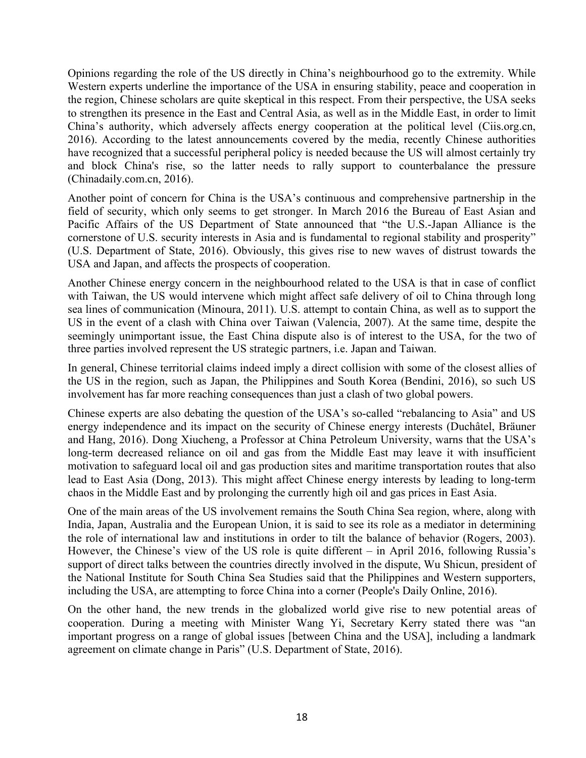Opinions regarding the role of the US directly in China's neighbourhood go to the extremity. While Western experts underline the importance of the USA in ensuring stability, peace and cooperation in the region, Chinese scholars are quite skeptical in this respect. From their perspective, the USA seeks to strengthen its presence in the East and Central Asia, as well as in the Middle East, in order to limit China's authority, which adversely affects energy cooperation at the political level (Ciis.org.cn, 2016). According to the latest announcements covered by the media, recently Chinese authorities have recognized that a successful peripheral policy is needed because the US will almost certainly try and block China's rise, so the latter needs to rally support to counterbalance the pressure (Chinadaily.com.cn, 2016).

Another point of concern for China is the USA's continuous and comprehensive partnership in the field of security, which only seems to get stronger. In March 2016 the Bureau of East Asian and Pacific Affairs of the US Department of State announced that "the U.S.-Japan Alliance is the cornerstone of U.S. security interests in Asia and is fundamental to regional stability and prosperity" (U.S. Department of State, 2016). Obviously, this gives rise to new waves of distrust towards the USA and Japan, and affects the prospects of cooperation.

Another Chinese energy concern in the neighbourhood related to the USA is that in case of conflict with Taiwan, the US would intervene which might affect safe delivery of oil to China through long sea lines of communication (Minoura, 2011). U.S. attempt to contain China, as well as to support the US in the event of a clash with China over Taiwan (Valencia, 2007). At the same time, despite the seemingly unimportant issue, the East China dispute also is of interest to the USA, for the two of three parties involved represent the US strategic partners, i.e. Japan and Taiwan.

In general, Chinese territorial claims indeed imply a direct collision with some of the closest allies of the US in the region, such as Japan, the Philippines and South Korea (Bendini, 2016), so such US involvement has far more reaching consequences than just a clash of two global powers.

Chinese experts are also debating the question of the USA's so-called "rebalancing to Asia" and US energy independence and its impact on the security of Chinese energy interests (Duchâtel, Bräuner and Hang, 2016). Dong Xiucheng, a Professor at China Petroleum University, warns that the USA's long-term decreased reliance on oil and gas from the Middle East may leave it with insufficient motivation to safeguard local oil and gas production sites and maritime transportation routes that also lead to East Asia (Dong, 2013). This might affect Chinese energy interests by leading to long-term chaos in the Middle East and by prolonging the currently high oil and gas prices in East Asia.

One of the main areas of the US involvement remains the South China Sea region, where, along with India, Japan, Australia and the European Union, it is said to see its role as a mediator in determining the role of international law and institutions in order to tilt the balance of behavior (Rogers, 2003). However, the Chinese's view of the US role is quite different – in April 2016, following Russia's support of direct talks between the countries directly involved in the dispute, Wu Shicun, president of the National Institute for South China Sea Studies said that the Philippines and Western supporters, including the USA, are attempting to force China into a corner (People's Daily Online, 2016).

On the other hand, the new trends in the globalized world give rise to new potential areas of cooperation. During a meeting with Minister Wang Yi, Secretary Kerry stated there was "an important progress on a range of global issues [between China and the USA], including a landmark agreement on climate change in Paris" (U.S. Department of State, 2016).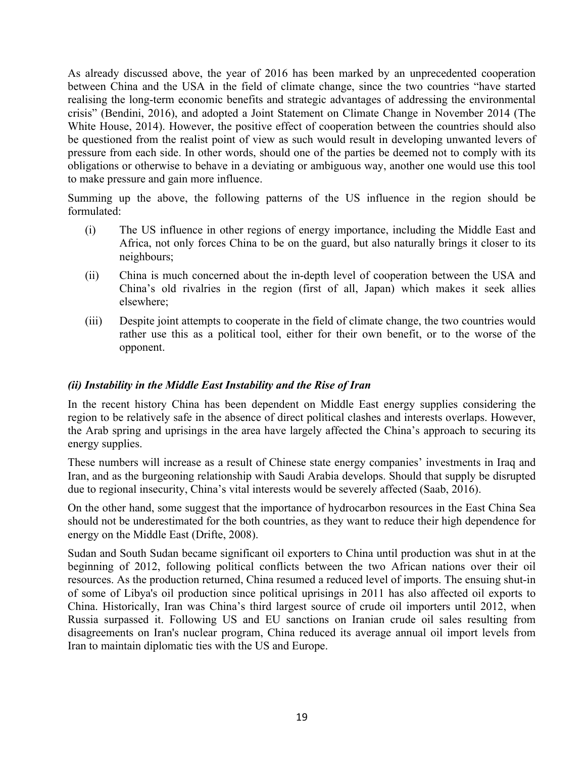As already discussed above, the year of 2016 has been marked by an unprecedented cooperation between China and the USA in the field of climate change, since the two countries "have started realising the long-term economic benefits and strategic advantages of addressing the environmental crisis" (Bendini, 2016), and adopted a Joint Statement on Climate Change in November 2014 (The White House, 2014). However, the positive effect of cooperation between the countries should also be questioned from the realist point of view as such would result in developing unwanted levers of pressure from each side. In other words, should one of the parties be deemed not to comply with its obligations or otherwise to behave in a deviating or ambiguous way, another one would use this tool to make pressure and gain more influence.

Summing up the above, the following patterns of the US influence in the region should be formulated:

- (i) The US influence in other regions of energy importance, including the Middle East and Africa, not only forces China to be on the guard, but also naturally brings it closer to its neighbours;
- (ii) China is much concerned about the in-depth level of cooperation between the USA and China's old rivalries in the region (first of all, Japan) which makes it seek allies elsewhere;
- (iii) Despite joint attempts to cooperate in the field of climate change, the two countries would rather use this as a political tool, either for their own benefit, or to the worse of the opponent.

#### *(ii) Instability in the Middle East Instability and the Rise of Iran*

In the recent history China has been dependent on Middle East energy supplies considering the region to be relatively safe in the absence of direct political clashes and interests overlaps. However, the Arab spring and uprisings in the area have largely affected the China's approach to securing its energy supplies.

These numbers will increase as a result of Chinese state energy companies' investments in Iraq and Iran, and as the burgeoning relationship with Saudi Arabia develops. Should that supply be disrupted due to regional insecurity, China's vital interests would be severely affected (Saab, 2016).

On the other hand, some suggest that the importance of hydrocarbon resources in the East China Sea should not be underestimated for the both countries, as they want to reduce their high dependence for energy on the Middle East (Drifte, 2008).

Sudan and South Sudan became significant oil exporters to China until production was shut in at the beginning of 2012, following political conflicts between the two African nations over their oil resources. As the production returned, China resumed a reduced level of imports. The ensuing shut-in of some of Libya's oil production since political uprisings in 2011 has also affected oil exports to China. Historically, Iran was China's third largest source of crude oil importers until 2012, when Russia surpassed it. Following US and EU sanctions on Iranian crude oil sales resulting from disagreements on Iran's nuclear program, China reduced its average annual oil import levels from Iran to maintain diplomatic ties with the US and Europe.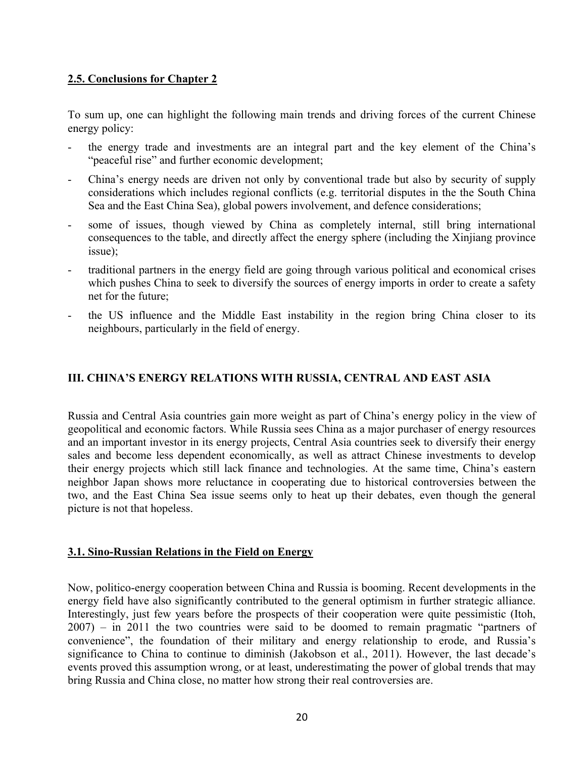## **2.5. Conclusions for Chapter 2**

To sum up, one can highlight the following main trends and driving forces of the current Chinese energy policy:

- the energy trade and investments are an integral part and the key element of the China's "peaceful rise" and further economic development;
- China's energy needs are driven not only by conventional trade but also by security of supply considerations which includes regional conflicts (e.g. territorial disputes in the the South China Sea and the East China Sea), global powers involvement, and defence considerations;
- some of issues, though viewed by China as completely internal, still bring international consequences to the table, and directly affect the energy sphere (including the Xinjiang province issue);
- traditional partners in the energy field are going through various political and economical crises which pushes China to seek to diversify the sources of energy imports in order to create a safety net for the future;
- the US influence and the Middle East instability in the region bring China closer to its neighbours, particularly in the field of energy.

## **III. CHINA'S ENERGY RELATIONS WITH RUSSIA, CENTRAL AND EAST ASIA**

Russia and Central Asia countries gain more weight as part of China's energy policy in the view of geopolitical and economic factors. While Russia sees China as a major purchaser of energy resources and an important investor in its energy projects, Central Asia countries seek to diversify their energy sales and become less dependent economically, as well as attract Chinese investments to develop their energy projects which still lack finance and technologies. At the same time, China's eastern neighbor Japan shows more reluctance in cooperating due to historical controversies between the two, and the East China Sea issue seems only to heat up their debates, even though the general picture is not that hopeless.

## **3.1. Sino-Russian Relations in the Field on Energy**

Now, politico-energy cooperation between China and Russia is booming. Recent developments in the energy field have also significantly contributed to the general optimism in further strategic alliance. Interestingly, just few years before the prospects of their cooperation were quite pessimistic (Itoh, 2007) – in 2011 the two countries were said to be doomed to remain pragmatic "partners of convenience", the foundation of their military and energy relationship to erode, and Russia's significance to China to continue to diminish (Jakobson et al., 2011). However, the last decade's events proved this assumption wrong, or at least, underestimating the power of global trends that may bring Russia and China close, no matter how strong their real controversies are.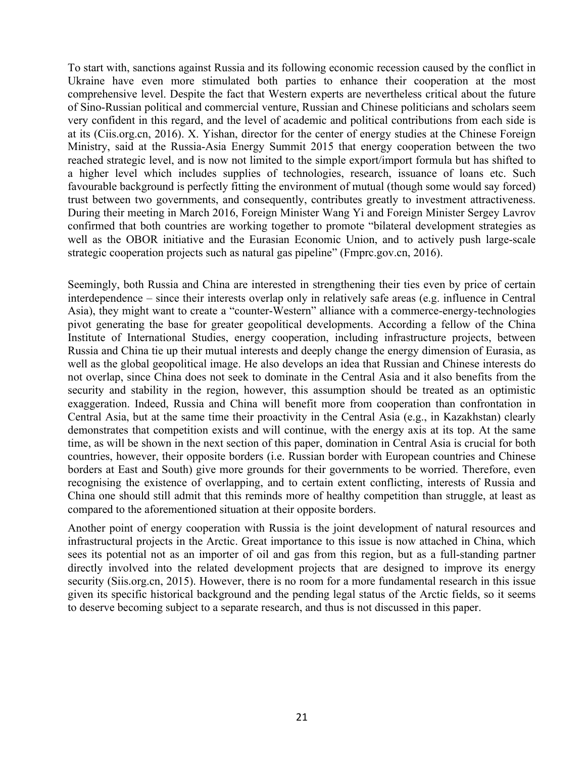To start with, sanctions against Russia and its following economic recession caused by the conflict in Ukraine have even more stimulated both parties to enhance their cooperation at the most comprehensive level. Despite the fact that Western experts are nevertheless critical about the future of Sino-Russian political and commercial venture, Russian and Chinese politicians and scholars seem very confident in this regard, and the level of academic and political contributions from each side is at its (Ciis.org.cn, 2016). X. Yishan, director for the center of energy studies at the Chinese Foreign Ministry, said at the Russia-Asia Energy Summit 2015 that energy cooperation between the two reached strategic level, and is now not limited to the simple export/import formula but has shifted to a higher level which includes supplies of technologies, research, issuance of loans etc. Such favourable background is perfectly fitting the environment of mutual (though some would say forced) trust between two governments, and consequently, contributes greatly to investment attractiveness. During their meeting in March 2016, Foreign Minister Wang Yi and Foreign Minister Sergey Lavrov confirmed that both countries are working together to promote "bilateral development strategies as well as the OBOR initiative and the Eurasian Economic Union, and to actively push large-scale strategic cooperation projects such as natural gas pipeline" (Fmprc.gov.cn, 2016).

Seemingly, both Russia and China are interested in strengthening their ties even by price of certain interdependence – since their interests overlap only in relatively safe areas (e.g. influence in Central Asia), they might want to create a "counter-Western" alliance with a commerce-energy-technologies pivot generating the base for greater geopolitical developments. According a fellow of the China Institute of International Studies, energy cooperation, including infrastructure projects, between Russia and China tie up their mutual interests and deeply change the energy dimension of Eurasia, as well as the global geopolitical image. He also develops an idea that Russian and Chinese interests do not overlap, since China does not seek to dominate in the Central Asia and it also benefits from the security and stability in the region, however, this assumption should be treated as an optimistic exaggeration. Indeed, Russia and China will benefit more from cooperation than confrontation in Central Asia, but at the same time their proactivity in the Central Asia (e.g., in Kazakhstan) clearly demonstrates that competition exists and will continue, with the energy axis at its top. At the same time, as will be shown in the next section of this paper, domination in Central Asia is crucial for both countries, however, their opposite borders (i.e. Russian border with European countries and Chinese borders at East and South) give more grounds for their governments to be worried. Therefore, even recognising the existence of overlapping, and to certain extent conflicting, interests of Russia and China one should still admit that this reminds more of healthy competition than struggle, at least as compared to the aforementioned situation at their opposite borders.

Another point of energy cooperation with Russia is the joint development of natural resources and infrastructural projects in the Arctic. Great importance to this issue is now attached in China, which sees its potential not as an importer of oil and gas from this region, but as a full-standing partner directly involved into the related development projects that are designed to improve its energy security (Siis.org.cn, 2015). However, there is no room for a more fundamental research in this issue given its specific historical background and the pending legal status of the Arctic fields, so it seems to deserve becoming subject to a separate research, and thus is not discussed in this paper.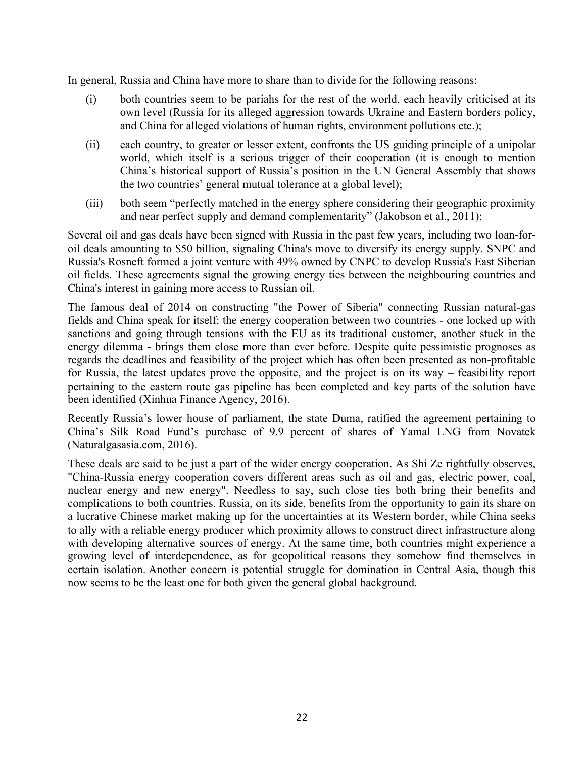In general, Russia and China have more to share than to divide for the following reasons:

- (i) both countries seem to be pariahs for the rest of the world, each heavily criticised at its own level (Russia for its alleged aggression towards Ukraine and Eastern borders policy, and China for alleged violations of human rights, environment pollutions etc.);
- (ii) each country, to greater or lesser extent, confronts the US guiding principle of a unipolar world, which itself is a serious trigger of their cooperation (it is enough to mention China's historical support of Russia's position in the UN General Assembly that shows the two countries' general mutual tolerance at a global level);
- (iii) both seem "perfectly matched in the energy sphere considering their geographic proximity and near perfect supply and demand complementarity" (Jakobson et al., 2011);

Several oil and gas deals have been signed with Russia in the past few years, including two loan-foroil deals amounting to \$50 billion, signaling China's move to diversify its energy supply. SNPC and Russia's Rosneft formed a joint venture with 49% owned by CNPC to develop Russia's East Siberian oil fields. These agreements signal the growing energy ties between the neighbouring countries and China's interest in gaining more access to Russian oil.

The famous deal of 2014 on constructing "the Power of Siberia" connecting Russian natural-gas fields and China speak for itself: the energy cooperation between two countries - one locked up with sanctions and going through tensions with the EU as its traditional customer, another stuck in the energy dilemma - brings them close more than ever before. Despite quite pessimistic prognoses as regards the deadlines and feasibility of the project which has often been presented as non-profitable for Russia, the latest updates prove the opposite, and the project is on its way – feasibility report pertaining to the eastern route gas pipeline has been completed and key parts of the solution have been identified (Xinhua Finance Agency, 2016).

Recently Russia's lower house of parliament, the state Duma, ratified the agreement pertaining to China's Silk Road Fund's purchase of 9.9 percent of shares of Yamal LNG from Novatek (Naturalgasasia.com, 2016).

These deals are said to be just a part of the wider energy cooperation. As Shi Ze rightfully observes, "China-Russia energy cooperation covers different areas such as oil and gas, electric power, coal, nuclear energy and new energy". Needless to say, such close ties both bring their benefits and complications to both countries. Russia, on its side, benefits from the opportunity to gain its share on a lucrative Chinese market making up for the uncertainties at its Western border, while China seeks to ally with a reliable energy producer which proximity allows to construct direct infrastructure along with developing alternative sources of energy. At the same time, both countries might experience a growing level of interdependence, as for geopolitical reasons they somehow find themselves in certain isolation. Another concern is potential struggle for domination in Central Asia, though this now seems to be the least one for both given the general global background.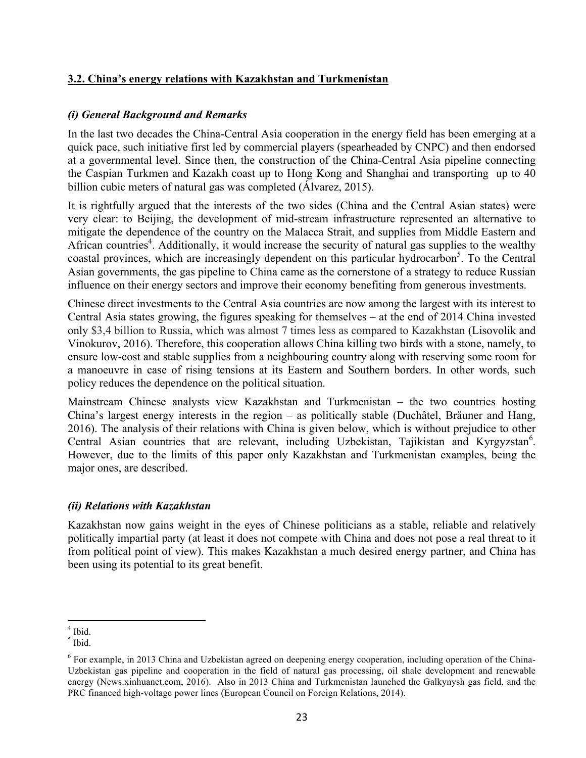## **3.2. China's energy relations with Kazakhstan and Turkmenistan**

## *(i) General Background and Remarks*

In the last two decades the China-Central Asia cooperation in the energy field has been emerging at a quick pace, such initiative first led by commercial players (spearheaded by CNPC) and then endorsed at a governmental level. Since then, the construction of the China-Central Asia pipeline connecting the Caspian Turkmen and Kazakh coast up to Hong Kong and Shanghai and transporting up to 40 billion cubic meters of natural gas was completed (Álvarez, 2015).

It is rightfully argued that the interests of the two sides (China and the Central Asian states) were very clear: to Beijing, the development of mid-stream infrastructure represented an alternative to mitigate the dependence of the country on the Malacca Strait, and supplies from Middle Eastern and African countries<sup>4</sup>. Additionally, it would increase the security of natural gas supplies to the wealthy coastal provinces, which are increasingly dependent on this particular hydrocarbon<sup>5</sup>. To the Central Asian governments, the gas pipeline to China came as the cornerstone of a strategy to reduce Russian influence on their energy sectors and improve their economy benefiting from generous investments.

Chinese direct investments to the Central Asia countries are now among the largest with its interest to Central Asia states growing, the figures speaking for themselves – at the end of 2014 China invested only \$3,4 billion to Russia, which was almost 7 times less as compared to Kazakhstan (Lisovolik and Vinokurov, 2016). Therefore, this cooperation allows China killing two birds with a stone, namely, to ensure low-cost and stable supplies from a neighbouring country along with reserving some room for a manoeuvre in case of rising tensions at its Eastern and Southern borders. In other words, such policy reduces the dependence on the political situation.

Mainstream Chinese analysts view Kazakhstan and Turkmenistan – the two countries hosting China's largest energy interests in the region – as politically stable (Duchâtel, Bräuner and Hang, 2016). The analysis of their relations with China is given below, which is without prejudice to other Central Asian countries that are relevant, including Uzbekistan, Tajikistan and Kyrgyzstan<sup>6</sup>. However, due to the limits of this paper only Kazakhstan and Turkmenistan examples, being the major ones, are described.

## *(ii) Relations with Kazakhstan*

Kazakhstan now gains weight in the eyes of Chinese politicians as a stable, reliable and relatively politically impartial party (at least it does not compete with China and does not pose a real threat to it from political point of view). This makes Kazakhstan a much desired energy partner, and China has been using its potential to its great benefit.

 $\frac{4 \text{ Ibid}}{4 \text{ Ibid}}$  $<sup>4</sup>$  Ibid.</sup>

<sup>5</sup> Ibid.

 $6$  For example, in 2013 China and Uzbekistan agreed on deepening energy cooperation, including operation of the China-Uzbekistan gas pipeline and cooperation in the field of natural gas processing, oil shale development and renewable energy (News.xinhuanet.com, 2016). Also in 2013 China and Turkmenistan launched the Galkynysh gas field, and the PRC financed high-voltage power lines (European Council on Foreign Relations, 2014).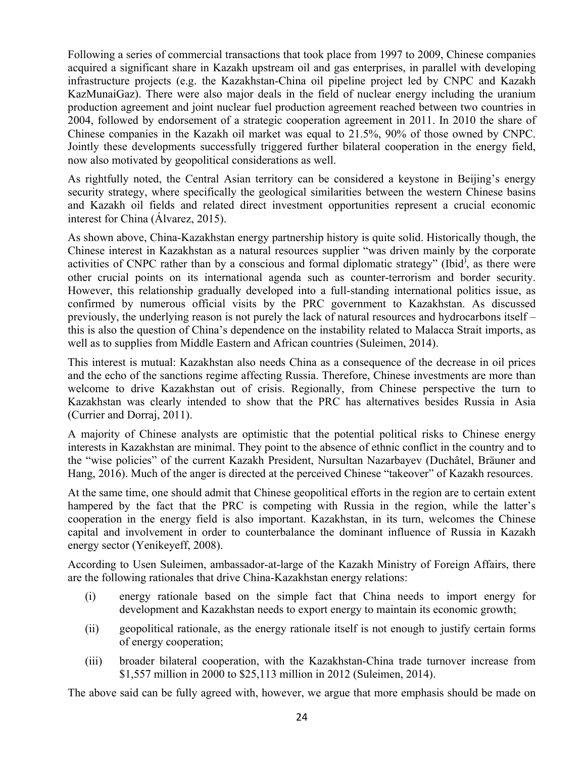Following a series of commercial transactions that took place from 1997 to 2009, Chinese companies acquired a significant share in Kazakh upstream oil and gas enterprises, in parallel with developing infrastructure projects (e.g. the Kazakhstan-China oil pipeline project led by CNPC and Kazakh KazMunaiGaz). There were also major deals in the field of nuclear energy including the uranium production agreement and joint nuclear fuel production agreement reached between two countries in 2004, followed by endorsement of a strategic cooperation agreement in 2011. In 2010 the share of Chinese companies in the Kazakh oil market was equal to 21.5%, 90% of those owned by CNPC. Jointly these developments successfully triggered further bilateral cooperation in the energy field, now also motivated by geopolitical considerations as well.

As rightfully noted, the Central Asian territory can be considered a keystone in Beijing's energy security strategy, where specifically the geological similarities between the western Chinese basins and Kazakh oil fields and related direct investment opportunities represent a crucial economic interest for China (Álvarez, 2015).

As shown above, China-Kazakhstan energy partnership history is quite solid. Historically though, the Chinese interest in Kazakhstan as a natural resources supplier "was driven mainly by the corporate activities of CNPC rather than by a conscious and formal diplomatic strategy" (Ibid<sup>)</sup>, as there were other crucial points on its international agenda such as counter-terrorism and border security. However, this relationship gradually developed into a full-standing international politics issue, as confirmed by numerous official visits by the PRC government to Kazakhstan. As discussed previously, the underlying reason is not purely the lack of natural resources and hydrocarbons itself – this is also the question of China's dependence on the instability related to Malacca Strait imports, as well as to supplies from Middle Eastern and African countries (Suleimen, 2014).

This interest is mutual: Kazakhstan also needs China as a consequence of the decrease in oil prices and the echo of the sanctions regime affecting Russia. Therefore, Chinese investments are more than welcome to drive Kazakhstan out of crisis. Regionally, from Chinese perspective the turn to Kazakhstan was clearly intended to show that the PRC has alternatives besides Russia in Asia (Currier and Dorraj, 2011).

A majority of Chinese analysts are optimistic that the potential political risks to Chinese energy interests in Kazakhstan are minimal. They point to the absence of ethnic conflict in the country and to the "wise policies" of the current Kazakh President, Nursultan Nazarbayev (Duchâtel, Bräuner and Hang, 2016). Much of the anger is directed at the perceived Chinese "takeover" of Kazakh resources.

At the same time, one should admit that Chinese geopolitical efforts in the region are to certain extent hampered by the fact that the PRC is competing with Russia in the region, while the latter's cooperation in the energy field is also important. Kazakhstan, in its turn, welcomes the Chinese capital and involvement in order to counterbalance the dominant influence of Russia in Kazakh energy sector (Yenikeyeff, 2008).

According to Usen Suleimen, ambassador-at-large of the Kazakh Ministry of Foreign Affairs, there are the following rationales that drive China-Kazakhstan energy relations:

- (i) energy rationale based on the simple fact that China needs to import energy for development and Kazakhstan needs to export energy to maintain its economic growth;
- (ii) geopolitical rationale, as the energy rationale itself is not enough to justify certain forms of energy cooperation;
- (iii) broader bilateral cooperation, with the Kazakhstan-China trade turnover increase from \$1,557 million in 2000 to \$25,113 million in 2012 (Suleimen, 2014).

The above said can be fully agreed with, however, we argue that more emphasis should be made on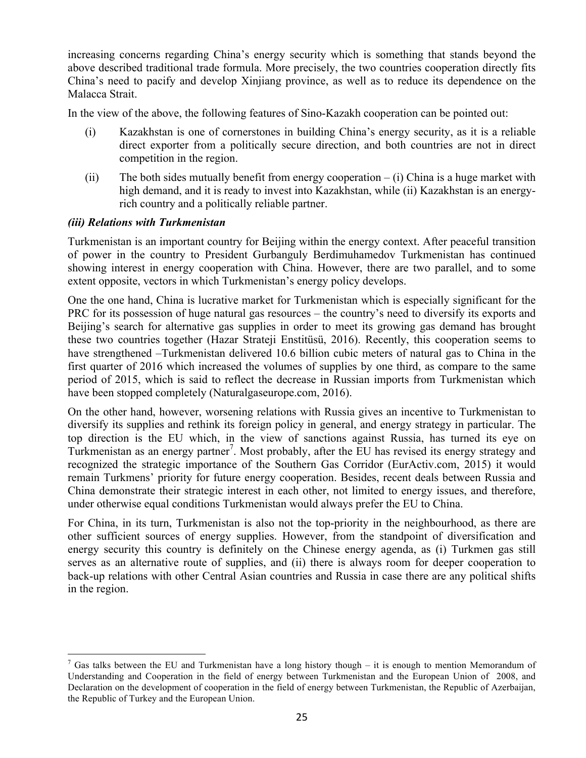increasing concerns regarding China's energy security which is something that stands beyond the above described traditional trade formula. More precisely, the two countries cooperation directly fits China's need to pacify and develop Xinjiang province, as well as to reduce its dependence on the Malacca Strait.

In the view of the above, the following features of Sino-Kazakh cooperation can be pointed out:

- (i) Kazakhstan is one of cornerstones in building China's energy security, as it is a reliable direct exporter from a politically secure direction, and both countries are not in direct competition in the region.
- (ii) The both sides mutually benefit from energy cooperation  $-$  (i) China is a huge market with high demand, and it is ready to invest into Kazakhstan, while (ii) Kazakhstan is an energyrich country and a politically reliable partner.

## *(iii) Relations with Turkmenistan*

Turkmenistan is an important country for Beijing within the energy context. After peaceful transition of power in the country to President Gurbanguly Berdimuhamedov Turkmenistan has continued showing interest in energy cooperation with China. However, there are two parallel, and to some extent opposite, vectors in which Turkmenistan's energy policy develops.

One the one hand, China is lucrative market for Turkmenistan which is especially significant for the PRC for its possession of huge natural gas resources – the country's need to diversify its exports and Beijing's search for alternative gas supplies in order to meet its growing gas demand has brought these two countries together (Hazar Strateji Enstitüsü, 2016). Recently, this cooperation seems to have strengthened –Turkmenistan delivered 10.6 billion cubic meters of natural gas to China in the first quarter of 2016 which increased the volumes of supplies by one third, as compare to the same period of 2015, which is said to reflect the decrease in Russian imports from Turkmenistan which have been stopped completely (Naturalgaseurope.com, 2016).

On the other hand, however, worsening relations with Russia gives an incentive to Turkmenistan to diversify its supplies and rethink its foreign policy in general, and energy strategy in particular. The top direction is the EU which, in the view of sanctions against Russia, has turned its eye on Turkmenistan as an energy partner<sup>7</sup>. Most probably, after the EU has revised its energy strategy and recognized the strategic importance of the Southern Gas Corridor (EurActiv.com, 2015) it would remain Turkmens' priority for future energy cooperation. Besides, recent deals between Russia and China demonstrate their strategic interest in each other, not limited to energy issues, and therefore, under otherwise equal conditions Turkmenistan would always prefer the EU to China.

For China, in its turn, Turkmenistan is also not the top-priority in the neighbourhood, as there are other sufficient sources of energy supplies. However, from the standpoint of diversification and energy security this country is definitely on the Chinese energy agenda, as (i) Turkmen gas still serves as an alternative route of supplies, and (ii) there is always room for deeper cooperation to back-up relations with other Central Asian countries and Russia in case there are any political shifts in the region.

<sup>&</sup>lt;sup>7</sup> Gas talks between the EU and Turkmenistan have a long history though – it is enough to mention Memorandum of Understanding and Cooperation in the field of energy between Turkmenistan and the European Union of 2008, and Declaration on the development of cooperation in the field of energy between Turkmenistan, the Republic of Azerbaijan, the Republic of Turkey and the European Union.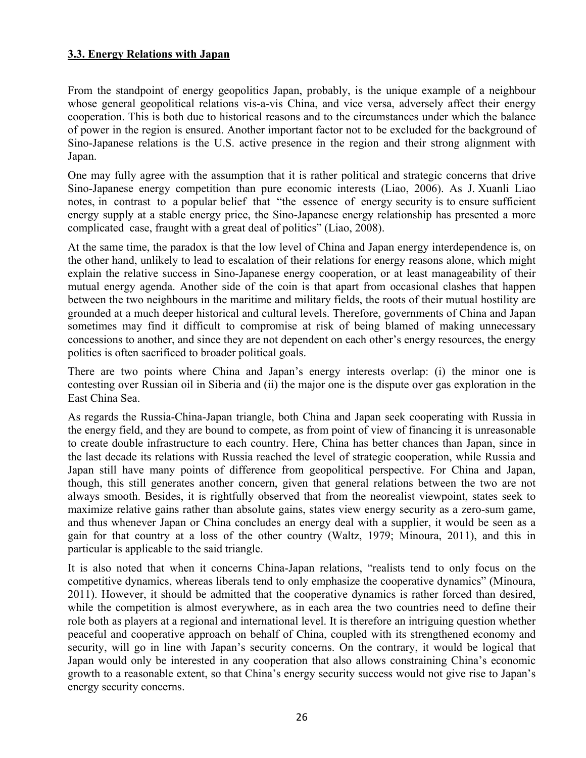#### **3.3. Energy Relations with Japan**

From the standpoint of energy geopolitics Japan, probably, is the unique example of a neighbour whose general geopolitical relations vis-a-vis China, and vice versa, adversely affect their energy cooperation. This is both due to historical reasons and to the circumstances under which the balance of power in the region is ensured. Another important factor not to be excluded for the background of Sino-Japanese relations is the U.S. active presence in the region and their strong alignment with Japan.

One may fully agree with the assumption that it is rather political and strategic concerns that drive Sino-Japanese energy competition than pure economic interests (Liao, 2006). As J. Xuanli Liao notes, in contrast to a popular belief that "the essence of energy security is to ensure sufficient energy supply at a stable energy price, the Sino-Japanese energy relationship has presented a more complicated case, fraught with a great deal of politics" (Liao, 2008).

At the same time, the paradox is that the low level of China and Japan energy interdependence is, on the other hand, unlikely to lead to escalation of their relations for energy reasons alone, which might explain the relative success in Sino-Japanese energy cooperation, or at least manageability of their mutual energy agenda. Another side of the coin is that apart from occasional clashes that happen between the two neighbours in the maritime and military fields, the roots of their mutual hostility are grounded at a much deeper historical and cultural levels. Therefore, governments of China and Japan sometimes may find it difficult to compromise at risk of being blamed of making unnecessary concessions to another, and since they are not dependent on each other's energy resources, the energy politics is often sacrificed to broader political goals.

There are two points where China and Japan's energy interests overlap: (i) the minor one is contesting over Russian oil in Siberia and (ii) the major one is the dispute over gas exploration in the East China Sea.

As regards the Russia-China-Japan triangle, both China and Japan seek cooperating with Russia in the energy field, and they are bound to compete, as from point of view of financing it is unreasonable to create double infrastructure to each country. Here, China has better chances than Japan, since in the last decade its relations with Russia reached the level of strategic cooperation, while Russia and Japan still have many points of difference from geopolitical perspective. For China and Japan, though, this still generates another concern, given that general relations between the two are not always smooth. Besides, it is rightfully observed that from the neorealist viewpoint, states seek to maximize relative gains rather than absolute gains, states view energy security as a zero-sum game, and thus whenever Japan or China concludes an energy deal with a supplier, it would be seen as a gain for that country at a loss of the other country (Waltz, 1979; Minoura, 2011), and this in particular is applicable to the said triangle.

It is also noted that when it concerns China-Japan relations, "realists tend to only focus on the competitive dynamics, whereas liberals tend to only emphasize the cooperative dynamics" (Minoura, 2011). However, it should be admitted that the cooperative dynamics is rather forced than desired, while the competition is almost everywhere, as in each area the two countries need to define their role both as players at a regional and international level. It is therefore an intriguing question whether peaceful and cooperative approach on behalf of China, coupled with its strengthened economy and security, will go in line with Japan's security concerns. On the contrary, it would be logical that Japan would only be interested in any cooperation that also allows constraining China's economic growth to a reasonable extent, so that China's energy security success would not give rise to Japan's energy security concerns.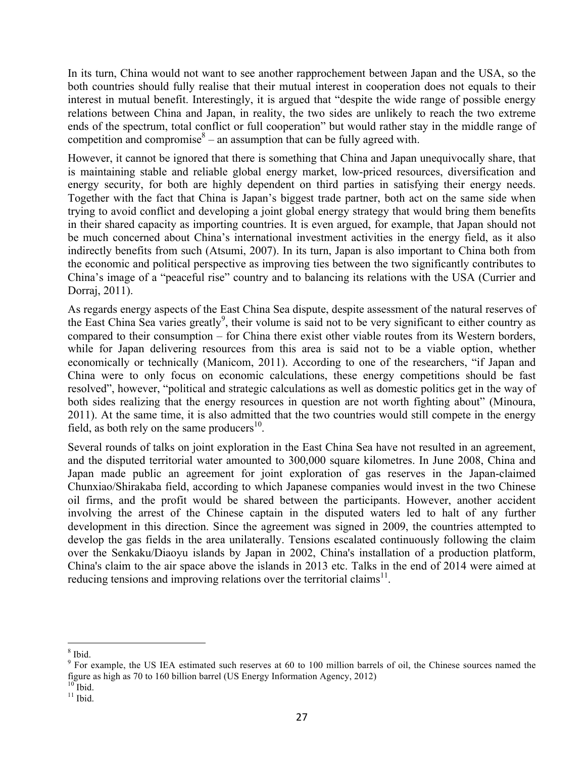In its turn, China would not want to see another rapprochement between Japan and the USA, so the both countries should fully realise that their mutual interest in cooperation does not equals to their interest in mutual benefit. Interestingly, it is argued that "despite the wide range of possible energy relations between China and Japan, in reality, the two sides are unlikely to reach the two extreme ends of the spectrum, total conflict or full cooperation" but would rather stay in the middle range of competition and compromise<sup>8</sup> – an assumption that can be fully agreed with.

However, it cannot be ignored that there is something that China and Japan unequivocally share, that is maintaining stable and reliable global energy market, low-priced resources, diversification and energy security, for both are highly dependent on third parties in satisfying their energy needs. Together with the fact that China is Japan's biggest trade partner, both act on the same side when trying to avoid conflict and developing a joint global energy strategy that would bring them benefits in their shared capacity as importing countries. It is even argued, for example, that Japan should not be much concerned about China's international investment activities in the energy field, as it also indirectly benefits from such (Atsumi, 2007). In its turn, Japan is also important to China both from the economic and political perspective as improving ties between the two significantly contributes to China's image of a "peaceful rise" country and to balancing its relations with the USA (Currier and Dorraj, 2011).

As regards energy aspects of the East China Sea dispute, despite assessment of the natural reserves of the East China Sea varies greatly<sup>9</sup>, their volume is said not to be very significant to either country as compared to their consumption – for China there exist other viable routes from its Western borders, while for Japan delivering resources from this area is said not to be a viable option, whether economically or technically (Manicom, 2011). According to one of the researchers, "if Japan and China were to only focus on economic calculations, these energy competitions should be fast resolved", however, "political and strategic calculations as well as domestic politics get in the way of both sides realizing that the energy resources in question are not worth fighting about" (Minoura, 2011). At the same time, it is also admitted that the two countries would still compete in the energy field, as both rely on the same producers $^{10}$ .

Several rounds of talks on joint exploration in the East China Sea have not resulted in an agreement, and the disputed territorial water amounted to 300,000 square kilometres. In June 2008, China and Japan made public an agreement for joint exploration of gas reserves in the Japan-claimed Chunxiao/Shirakaba field, according to which Japanese companies would invest in the two Chinese oil firms, and the profit would be shared between the participants. However, another accident involving the arrest of the Chinese captain in the disputed waters led to halt of any further development in this direction. Since the agreement was signed in 2009, the countries attempted to develop the gas fields in the area unilaterally. Tensions escalated continuously following the claim over the Senkaku/Diaoyu islands by Japan in 2002, China's installation of a production platform, China's claim to the air space above the islands in 2013 etc. Talks in the end of 2014 were aimed at reducing tensions and improving relations over the territorial claims<sup>11</sup>.

<sup>!!!!!!!!!!!!!!!!!!!!!!!!!!!!!!!!!!!!!!!!!!!!!!!!!!!!!!</sup> <sup>8</sup> <sup>8</sup> Ibid.

 $9$  For example, the US IEA estimated such reserves at 60 to 100 million barrels of oil, the Chinese sources named the figure as high as 70 to 160 billion barrel (US Energy Information Agency, 2012) <sup>10</sup> Ibid.

 $11$  Ibid.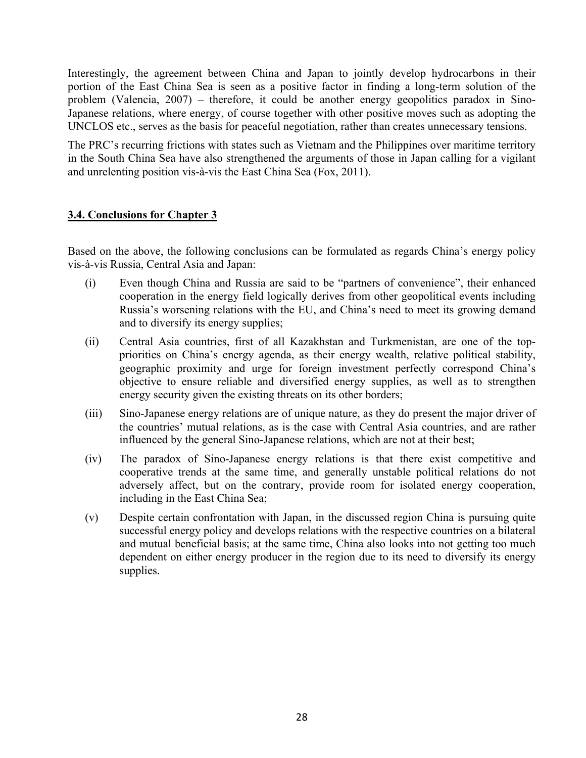Interestingly, the agreement between China and Japan to jointly develop hydrocarbons in their portion of the East China Sea is seen as a positive factor in finding a long-term solution of the problem (Valencia, 2007) – therefore, it could be another energy geopolitics paradox in Sino-Japanese relations, where energy, of course together with other positive moves such as adopting the UNCLOS etc., serves as the basis for peaceful negotiation, rather than creates unnecessary tensions.

The PRC's recurring frictions with states such as Vietnam and the Philippines over maritime territory in the South China Sea have also strengthened the arguments of those in Japan calling for a vigilant and unrelenting position vis-à-vis the East China Sea (Fox, 2011).

#### **3.4. Conclusions for Chapter 3**

Based on the above, the following conclusions can be formulated as regards China's energy policy vis-à-vis Russia, Central Asia and Japan:

- (i) Even though China and Russia are said to be "partners of convenience", their enhanced cooperation in the energy field logically derives from other geopolitical events including Russia's worsening relations with the EU, and China's need to meet its growing demand and to diversify its energy supplies;
- (ii) Central Asia countries, first of all Kazakhstan and Turkmenistan, are one of the toppriorities on China's energy agenda, as their energy wealth, relative political stability, geographic proximity and urge for foreign investment perfectly correspond China's objective to ensure reliable and diversified energy supplies, as well as to strengthen energy security given the existing threats on its other borders;
- (iii) Sino-Japanese energy relations are of unique nature, as they do present the major driver of the countries' mutual relations, as is the case with Central Asia countries, and are rather influenced by the general Sino-Japanese relations, which are not at their best;
- (iv) The paradox of Sino-Japanese energy relations is that there exist competitive and cooperative trends at the same time, and generally unstable political relations do not adversely affect, but on the contrary, provide room for isolated energy cooperation, including in the East China Sea;
- (v) Despite certain confrontation with Japan, in the discussed region China is pursuing quite successful energy policy and develops relations with the respective countries on a bilateral and mutual beneficial basis; at the same time, China also looks into not getting too much dependent on either energy producer in the region due to its need to diversify its energy supplies.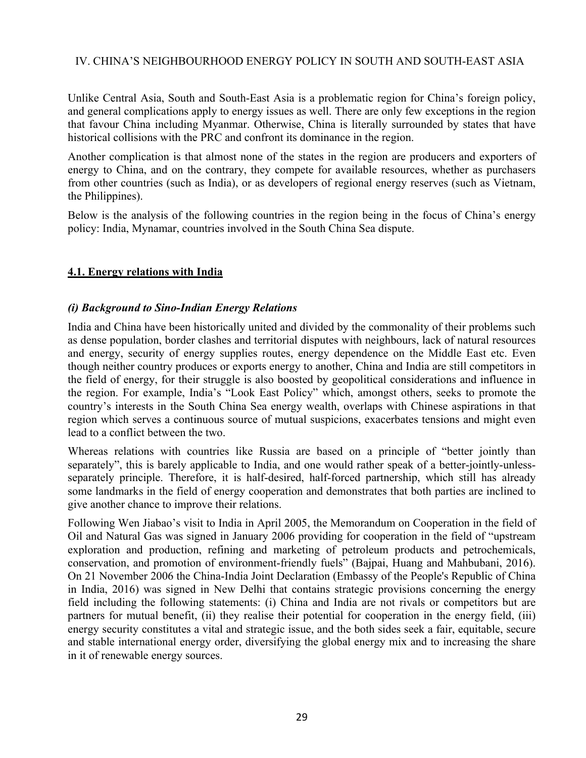#### IV. CHINA'S NEIGHBOURHOOD ENERGY POLICY IN SOUTH AND SOUTH-EAST ASIA

Unlike Central Asia, South and South-East Asia is a problematic region for China's foreign policy, and general complications apply to energy issues as well. There are only few exceptions in the region that favour China including Myanmar. Otherwise, China is literally surrounded by states that have historical collisions with the PRC and confront its dominance in the region.

Another complication is that almost none of the states in the region are producers and exporters of energy to China, and on the contrary, they compete for available resources, whether as purchasers from other countries (such as India), or as developers of regional energy reserves (such as Vietnam, the Philippines).

Below is the analysis of the following countries in the region being in the focus of China's energy policy: India, Mynamar, countries involved in the South China Sea dispute.

#### **4.1. Energy relations with India**

#### *(i) Background to Sino-Indian Energy Relations*

India and China have been historically united and divided by the commonality of their problems such as dense population, border clashes and territorial disputes with neighbours, lack of natural resources and energy, security of energy supplies routes, energy dependence on the Middle East etc. Even though neither country produces or exports energy to another, China and India are still competitors in the field of energy, for their struggle is also boosted by geopolitical considerations and influence in the region. For example, India's "Look East Policy" which, amongst others, seeks to promote the country's interests in the South China Sea energy wealth, overlaps with Chinese aspirations in that region which serves a continuous source of mutual suspicions, exacerbates tensions and might even lead to a conflict between the two.

Whereas relations with countries like Russia are based on a principle of "better jointly than separately", this is barely applicable to India, and one would rather speak of a better-jointly-unlessseparately principle. Therefore, it is half-desired, half-forced partnership, which still has already some landmarks in the field of energy cooperation and demonstrates that both parties are inclined to give another chance to improve their relations.

Following Wen Jiabao's visit to India in April 2005, the Memorandum on Cooperation in the field of Oil and Natural Gas was signed in January 2006 providing for cooperation in the field of "upstream exploration and production, refining and marketing of petroleum products and petrochemicals, conservation, and promotion of environment-friendly fuels" (Bajpai, Huang and Mahbubani, 2016). On 21 November 2006 the China-India Joint Declaration (Embassy of the People's Republic of China in India, 2016) was signed in New Delhi that contains strategic provisions concerning the energy field including the following statements: (i) China and India are not rivals or competitors but are partners for mutual benefit, (ii) they realise their potential for cooperation in the energy field, (iii) energy security constitutes a vital and strategic issue, and the both sides seek a fair, equitable, secure and stable international energy order, diversifying the global energy mix and to increasing the share in it of renewable energy sources.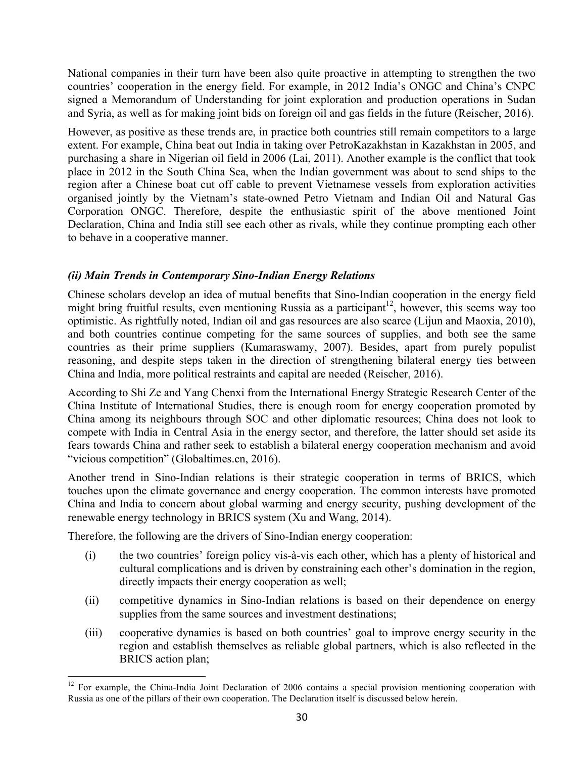National companies in their turn have been also quite proactive in attempting to strengthen the two countries' cooperation in the energy field. For example, in 2012 India's ONGC and China's CNPC signed a Memorandum of Understanding for joint exploration and production operations in Sudan and Syria, as well as for making joint bids on foreign oil and gas fields in the future (Reischer, 2016).

However, as positive as these trends are, in practice both countries still remain competitors to a large extent. For example, China beat out India in taking over PetroKazakhstan in Kazakhstan in 2005, and purchasing a share in Nigerian oil field in 2006 (Lai, 2011). Another example is the conflict that took place in 2012 in the South China Sea, when the Indian government was about to send ships to the region after a Chinese boat cut off cable to prevent Vietnamese vessels from exploration activities organised jointly by the Vietnam's state-owned Petro Vietnam and Indian Oil and Natural Gas Corporation ONGC. Therefore, despite the enthusiastic spirit of the above mentioned Joint Declaration, China and India still see each other as rivals, while they continue prompting each other to behave in a cooperative manner.

## *(ii) Main Trends in Contemporary Sino-Indian Energy Relations*

Chinese scholars develop an idea of mutual benefits that Sino-Indian cooperation in the energy field might bring fruitful results, even mentioning Russia as a participant<sup>12</sup>, however, this seems way too optimistic. As rightfully noted, Indian oil and gas resources are also scarce (Lijun and Maoxia, 2010), and both countries continue competing for the same sources of supplies, and both see the same countries as their prime suppliers (Kumaraswamy, 2007). Besides, apart from purely populist reasoning, and despite steps taken in the direction of strengthening bilateral energy ties between China and India, more political restraints and capital are needed (Reischer, 2016).

According to Shi Ze and Yang Chenxi from the International Energy Strategic Research Center of the China Institute of International Studies, there is enough room for energy cooperation promoted by China among its neighbours through SOC and other diplomatic resources; China does not look to compete with India in Central Asia in the energy sector, and therefore, the latter should set aside its fears towards China and rather seek to establish a bilateral energy cooperation mechanism and avoid "vicious competition" (Globaltimes.cn, 2016).

Another trend in Sino-Indian relations is their strategic cooperation in terms of BRICS, which touches upon the climate governance and energy cooperation. The common interests have promoted China and India to concern about global warming and energy security, pushing development of the renewable energy technology in BRICS system (Xu and Wang, 2014).

Therefore, the following are the drivers of Sino-Indian energy cooperation:

- (i) the two countries' foreign policy vis-à-vis each other, which has a plenty of historical and cultural complications and is driven by constraining each other's domination in the region, directly impacts their energy cooperation as well;
- (ii) competitive dynamics in Sino-Indian relations is based on their dependence on energy supplies from the same sources and investment destinations;
- (iii) cooperative dynamics is based on both countries' goal to improve energy security in the region and establish themselves as reliable global partners, which is also reflected in the BRICS action plan;

<sup>&</sup>lt;sup>12</sup> For example, the China-India Joint Declaration of 2006 contains a special provision mentioning cooperation with Russia as one of the pillars of their own cooperation. The Declaration itself is discussed below herein.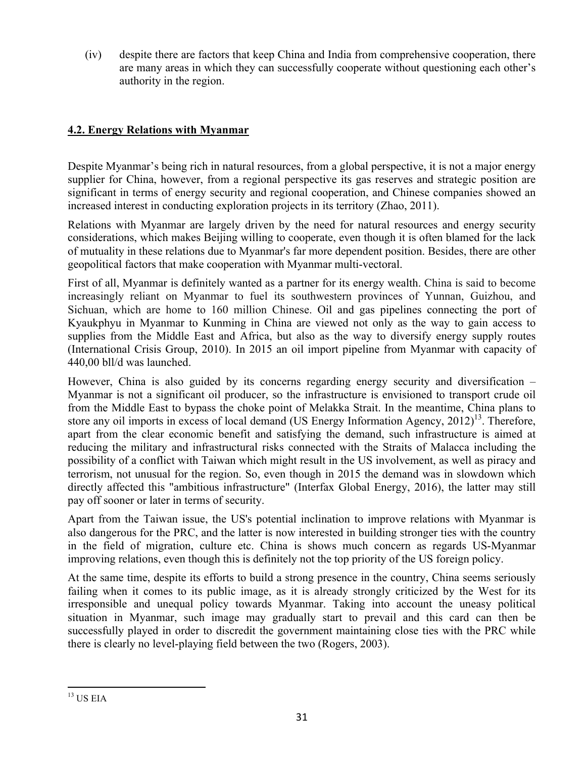(iv) despite there are factors that keep China and India from comprehensive cooperation, there are many areas in which they can successfully cooperate without questioning each other's authority in the region.

## **4.2. Energy Relations with Myanmar**

Despite Myanmar's being rich in natural resources, from a global perspective, it is not a major energy supplier for China, however, from a regional perspective its gas reserves and strategic position are significant in terms of energy security and regional cooperation, and Chinese companies showed an increased interest in conducting exploration projects in its territory (Zhao, 2011).

Relations with Myanmar are largely driven by the need for natural resources and energy security considerations, which makes Beijing willing to cooperate, even though it is often blamed for the lack of mutuality in these relations due to Myanmar's far more dependent position. Besides, there are other geopolitical factors that make cooperation with Myanmar multi-vectoral.

First of all, Myanmar is definitely wanted as a partner for its energy wealth. China is said to become increasingly reliant on Myanmar to fuel its southwestern provinces of Yunnan, Guizhou, and Sichuan, which are home to 160 million Chinese. Oil and gas pipelines connecting the port of Kyaukphyu in Myanmar to Kunming in China are viewed not only as the way to gain access to supplies from the Middle East and Africa, but also as the way to diversify energy supply routes (International Crisis Group, 2010). In 2015 an oil import pipeline from Myanmar with capacity of 440,00 bll/d was launched.

However, China is also guided by its concerns regarding energy security and diversification – Myanmar is not a significant oil producer, so the infrastructure is envisioned to transport crude oil from the Middle East to bypass the choke point of Melakka Strait. In the meantime, China plans to store any oil imports in excess of local demand (US Energy Information Agency,  $2012$ )<sup>13</sup>. Therefore, apart from the clear economic benefit and satisfying the demand, such infrastructure is aimed at reducing the military and infrastructural risks connected with the Straits of Malacca including the possibility of a conflict with Taiwan which might result in the US involvement, as well as piracy and terrorism, not unusual for the region. So, even though in 2015 the demand was in slowdown which directly affected this "ambitious infrastructure" (Interfax Global Energy, 2016), the latter may still pay off sooner or later in terms of security.

Apart from the Taiwan issue, the US's potential inclination to improve relations with Myanmar is also dangerous for the PRC, and the latter is now interested in building stronger ties with the country in the field of migration, culture etc. China is shows much concern as regards US-Myanmar improving relations, even though this is definitely not the top priority of the US foreign policy.

At the same time, despite its efforts to build a strong presence in the country, China seems seriously failing when it comes to its public image, as it is already strongly criticized by the West for its irresponsible and unequal policy towards Myanmar. Taking into account the uneasy political situation in Myanmar, such image may gradually start to prevail and this card can then be successfully played in order to discredit the government maintaining close ties with the PRC while there is clearly no level-playing field between the two (Rogers, 2003).

 $13$  US EIA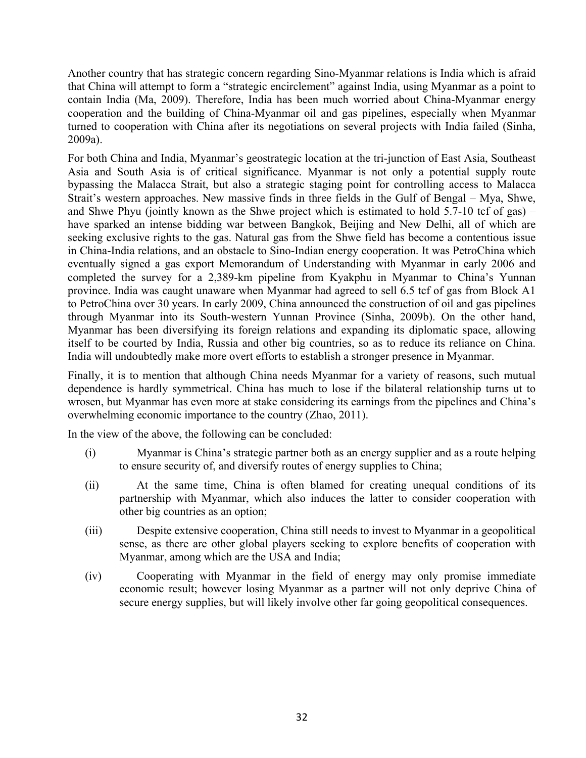Another country that has strategic concern regarding Sino-Myanmar relations is India which is afraid that China will attempt to form a "strategic encirclement" against India, using Myanmar as a point to contain India (Ma, 2009). Therefore, India has been much worried about China-Myanmar energy cooperation and the building of China-Myanmar oil and gas pipelines, especially when Myanmar turned to cooperation with China after its negotiations on several projects with India failed (Sinha, 2009a).

For both China and India, Myanmar's geostrategic location at the tri-junction of East Asia, Southeast Asia and South Asia is of critical significance. Myanmar is not only a potential supply route bypassing the Malacca Strait, but also a strategic staging point for controlling access to Malacca Strait's western approaches. New massive finds in three fields in the Gulf of Bengal – Mya, Shwe, and Shwe Phyu (jointly known as the Shwe project which is estimated to hold  $5.7$ -10 tcf of gas) – have sparked an intense bidding war between Bangkok, Beijing and New Delhi, all of which are seeking exclusive rights to the gas. Natural gas from the Shwe field has become a contentious issue in China-India relations, and an obstacle to Sino-Indian energy cooperation. It was PetroChina which eventually signed a gas export Memorandum of Understanding with Myanmar in early 2006 and completed the survey for a 2,389-km pipeline from Kyakphu in Myanmar to China's Yunnan province. India was caught unaware when Myanmar had agreed to sell 6.5 tcf of gas from Block A1 to PetroChina over 30 years. In early 2009, China announced the construction of oil and gas pipelines through Myanmar into its South-western Yunnan Province (Sinha, 2009b). On the other hand, Myanmar has been diversifying its foreign relations and expanding its diplomatic space, allowing itself to be courted by India, Russia and other big countries, so as to reduce its reliance on China. India will undoubtedly make more overt efforts to establish a stronger presence in Myanmar.

Finally, it is to mention that although China needs Myanmar for a variety of reasons, such mutual dependence is hardly symmetrical. China has much to lose if the bilateral relationship turns ut to wrosen, but Myanmar has even more at stake considering its earnings from the pipelines and China's overwhelming economic importance to the country (Zhao, 2011).

In the view of the above, the following can be concluded:

- (i) Myanmar is China's strategic partner both as an energy supplier and as a route helping to ensure security of, and diversify routes of energy supplies to China;
- (ii) At the same time, China is often blamed for creating unequal conditions of its partnership with Myanmar, which also induces the latter to consider cooperation with other big countries as an option;
- (iii) Despite extensive cooperation, China still needs to invest to Myanmar in a geopolitical sense, as there are other global players seeking to explore benefits of cooperation with Myanmar, among which are the USA and India;
- (iv) Cooperating with Myanmar in the field of energy may only promise immediate economic result; however losing Myanmar as a partner will not only deprive China of secure energy supplies, but will likely involve other far going geopolitical consequences.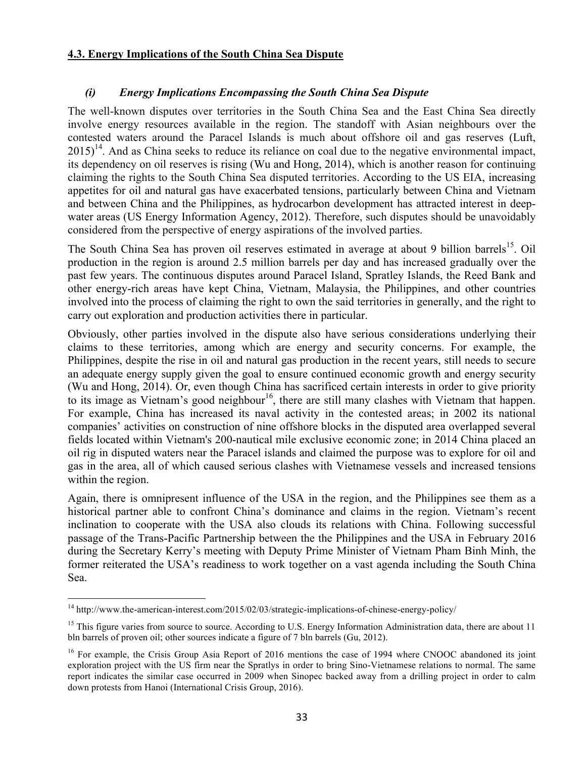#### **4.3. Energy Implications of the South China Sea Dispute**

## *(i) Energy Implications Encompassing the South China Sea Dispute*

The well-known disputes over territories in the South China Sea and the East China Sea directly involve energy resources available in the region. The standoff with Asian neighbours over the contested waters around the Paracel Islands is much about offshore oil and gas reserves (Luft,  $2015$ <sup>14</sup>. And as China seeks to reduce its reliance on coal due to the negative environmental impact, its dependency on oil reserves is rising (Wu and Hong, 2014), which is another reason for continuing claiming the rights to the South China Sea disputed territories. According to the US EIA, increasing appetites for oil and natural gas have exacerbated tensions, particularly between China and Vietnam and between China and the Philippines, as hydrocarbon development has attracted interest in deepwater areas (US Energy Information Agency, 2012). Therefore, such disputes should be unavoidably considered from the perspective of energy aspirations of the involved parties.

The South China Sea has proven oil reserves estimated in average at about 9 billion barrels<sup>15</sup>. Oil production in the region is around 2.5 million barrels per day and has increased gradually over the past few years. The continuous disputes around Paracel Island, Spratley Islands, the Reed Bank and other energy-rich areas have kept China, Vietnam, Malaysia, the Philippines, and other countries involved into the process of claiming the right to own the said territories in generally, and the right to carry out exploration and production activities there in particular.

Obviously, other parties involved in the dispute also have serious considerations underlying their claims to these territories, among which are energy and security concerns. For example, the Philippines, despite the rise in oil and natural gas production in the recent years, still needs to secure an adequate energy supply given the goal to ensure continued economic growth and energy security (Wu and Hong, 2014). Or, even though China has sacrificed certain interests in order to give priority to its image as Vietnam's good neighbour<sup>16</sup>, there are still many clashes with Vietnam that happen. For example, China has increased its naval activity in the contested areas; in 2002 its national companies' activities on construction of nine offshore blocks in the disputed area overlapped several fields located within Vietnam's 200-nautical mile exclusive economic zone; in 2014 China placed an oil rig in disputed waters near the Paracel islands and claimed the purpose was to explore for oil and gas in the area, all of which caused serious clashes with Vietnamese vessels and increased tensions within the region.

Again, there is omnipresent influence of the USA in the region, and the Philippines see them as a historical partner able to confront China's dominance and claims in the region. Vietnam's recent inclination to cooperate with the USA also clouds its relations with China. Following successful passage of the Trans-Pacific Partnership between the the Philippines and the USA in February 2016 during the Secretary Kerry's meeting with Deputy Prime Minister of Vietnam Pham Binh Minh, the former reiterated the USA's readiness to work together on a vast agenda including the South China Sea.

 $14 \text{ http://www.the-american-interest.com/2015/02/03/strategies-implications-of-chinese-energy-policy/}$ 

 $15$  This figure varies from source to source. According to U.S. Energy Information Administration data, there are about 11 bln barrels of proven oil; other sources indicate a figure of 7 bln barrels (Gu, 2012).

<sup>&</sup>lt;sup>16</sup> For example, the Crisis Group Asia Report of 2016 mentions the case of 1994 where CNOOC abandoned its joint exploration project with the US firm near the Spratlys in order to bring Sino-Vietnamese relations to normal. The same report indicates the similar case occurred in 2009 when Sinopec backed away from a drilling project in order to calm down protests from Hanoi (International Crisis Group, 2016).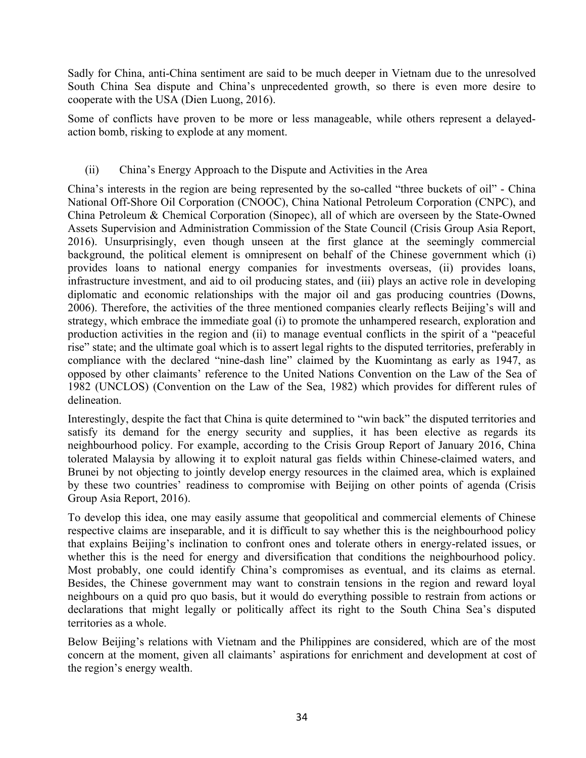Sadly for China, anti-China sentiment are said to be much deeper in Vietnam due to the unresolved South China Sea dispute and China's unprecedented growth, so there is even more desire to cooperate with the USA (Dien Luong, 2016).

Some of conflicts have proven to be more or less manageable, while others represent a delayedaction bomb, risking to explode at any moment.

## (ii) China's Energy Approach to the Dispute and Activities in the Area

China's interests in the region are being represented by the so-called "three buckets of oil" - China National Off-Shore Oil Corporation (CNOOC), China National Petroleum Corporation (CNPC), and China Petroleum & Chemical Corporation (Sinopec), all of which are overseen by the State-Owned Assets Supervision and Administration Commission of the State Council (Crisis Group Asia Report, 2016). Unsurprisingly, even though unseen at the first glance at the seemingly commercial background, the political element is omnipresent on behalf of the Chinese government which (i) provides loans to national energy companies for investments overseas, (ii) provides loans, infrastructure investment, and aid to oil producing states, and (iii) plays an active role in developing diplomatic and economic relationships with the major oil and gas producing countries (Downs, 2006). Therefore, the activities of the three mentioned companies clearly reflects Beijing's will and strategy, which embrace the immediate goal (i) to promote the unhampered research, exploration and production activities in the region and (ii) to manage eventual conflicts in the spirit of a "peaceful rise" state; and the ultimate goal which is to assert legal rights to the disputed territories, preferably in compliance with the declared "nine-dash line" claimed by the Kuomintang as early as 1947, as opposed by other claimants' reference to the United Nations Convention on the Law of the Sea of 1982 (UNCLOS) (Convention on the Law of the Sea, 1982) which provides for different rules of delineation.

Interestingly, despite the fact that China is quite determined to "win back" the disputed territories and satisfy its demand for the energy security and supplies, it has been elective as regards its neighbourhood policy. For example, according to the Crisis Group Report of January 2016, China tolerated Malaysia by allowing it to exploit natural gas fields within Chinese-claimed waters, and Brunei by not objecting to jointly develop energy resources in the claimed area, which is explained by these two countries' readiness to compromise with Beijing on other points of agenda (Crisis Group Asia Report, 2016).

To develop this idea, one may easily assume that geopolitical and commercial elements of Chinese respective claims are inseparable, and it is difficult to say whether this is the neighbourhood policy that explains Beijing's inclination to confront ones and tolerate others in energy-related issues, or whether this is the need for energy and diversification that conditions the neighbourhood policy. Most probably, one could identify China's compromises as eventual, and its claims as eternal. Besides, the Chinese government may want to constrain tensions in the region and reward loyal neighbours on a quid pro quo basis, but it would do everything possible to restrain from actions or declarations that might legally or politically affect its right to the South China Sea's disputed territories as a whole.

Below Beijing's relations with Vietnam and the Philippines are considered, which are of the most concern at the moment, given all claimants' aspirations for enrichment and development at cost of the region's energy wealth.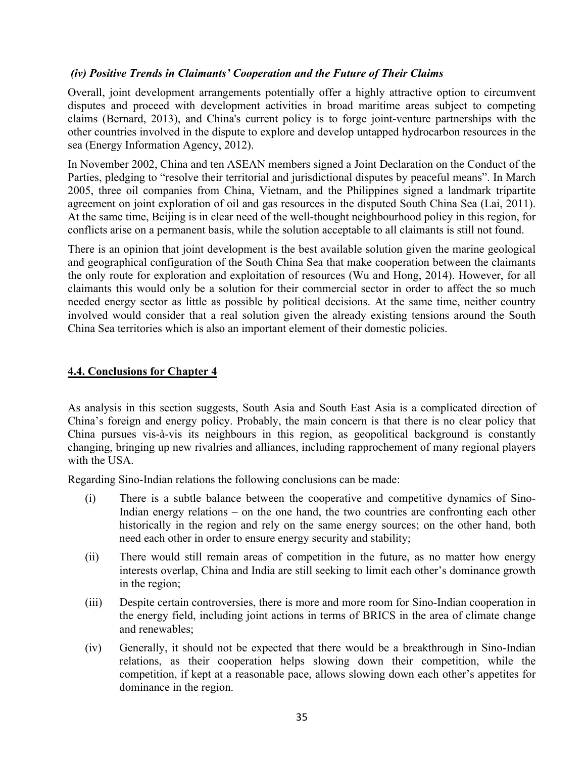#### *(iv) Positive Trends in Claimants' Cooperation and the Future of Their Claims*

Overall, joint development arrangements potentially offer a highly attractive option to circumvent disputes and proceed with development activities in broad maritime areas subject to competing claims (Bernard, 2013), and China's current policy is to forge joint-venture partnerships with the other countries involved in the dispute to explore and develop untapped hydrocarbon resources in the sea (Energy Information Agency, 2012).

In November 2002, China and ten ASEAN members signed a Joint Declaration on the Conduct of the Parties, pledging to "resolve their territorial and jurisdictional disputes by peaceful means". In March 2005, three oil companies from China, Vietnam, and the Philippines signed a landmark tripartite agreement on joint exploration of oil and gas resources in the disputed South China Sea (Lai, 2011). At the same time, Beijing is in clear need of the well-thought neighbourhood policy in this region, for conflicts arise on a permanent basis, while the solution acceptable to all claimants is still not found.

There is an opinion that joint development is the best available solution given the marine geological and geographical configuration of the South China Sea that make cooperation between the claimants the only route for exploration and exploitation of resources (Wu and Hong, 2014). However, for all claimants this would only be a solution for their commercial sector in order to affect the so much needed energy sector as little as possible by political decisions. At the same time, neither country involved would consider that a real solution given the already existing tensions around the South China Sea territories which is also an important element of their domestic policies.

#### **4.4. Conclusions for Chapter 4**

As analysis in this section suggests, South Asia and South East Asia is a complicated direction of China's foreign and energy policy. Probably, the main concern is that there is no clear policy that China pursues vis-à-vis its neighbours in this region, as geopolitical background is constantly changing, bringing up new rivalries and alliances, including rapprochement of many regional players with the USA

Regarding Sino-Indian relations the following conclusions can be made:

- (i) There is a subtle balance between the cooperative and competitive dynamics of Sino-Indian energy relations – on the one hand, the two countries are confronting each other historically in the region and rely on the same energy sources; on the other hand, both need each other in order to ensure energy security and stability;
- (ii) There would still remain areas of competition in the future, as no matter how energy interests overlap, China and India are still seeking to limit each other's dominance growth in the region;
- (iii) Despite certain controversies, there is more and more room for Sino-Indian cooperation in the energy field, including joint actions in terms of BRICS in the area of climate change and renewables;
- (iv) Generally, it should not be expected that there would be a breakthrough in Sino-Indian relations, as their cooperation helps slowing down their competition, while the competition, if kept at a reasonable pace, allows slowing down each other's appetites for dominance in the region.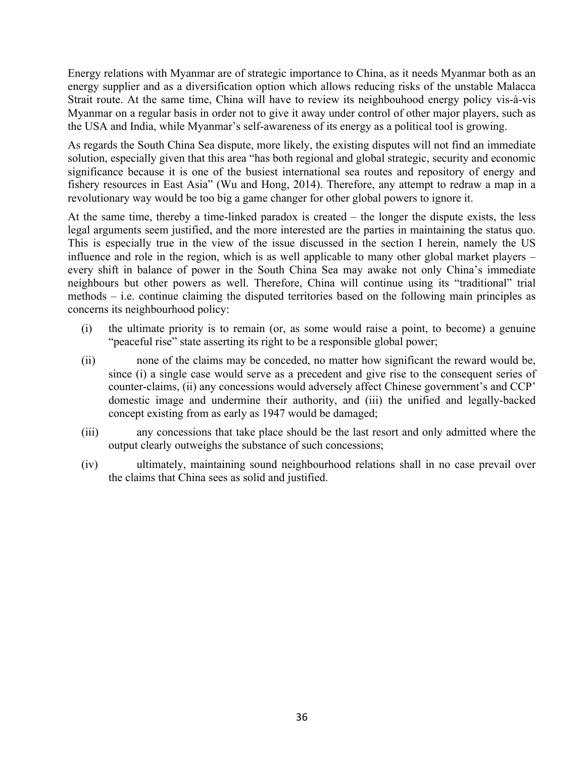Energy relations with Myanmar are of strategic importance to China, as it needs Myanmar both as an energy supplier and as a diversification option which allows reducing risks of the unstable Malacca Strait route. At the same time, China will have to review its neighbouhood energy policy vis-à-vis Myanmar on a regular basis in order not to give it away under control of other major players, such as the USA and India, while Myanmar's self-awareness of its energy as a political tool is growing.

As regards the South China Sea dispute, more likely, the existing disputes will not find an immediate solution, especially given that this area "has both regional and global strategic, security and economic significance because it is one of the busiest international sea routes and repository of energy and fishery resources in East Asia" (Wu and Hong, 2014). Therefore, any attempt to redraw a map in a revolutionary way would be too big a game changer for other global powers to ignore it.

At the same time, thereby a time-linked paradox is created – the longer the dispute exists, the less legal arguments seem justified, and the more interested are the parties in maintaining the status quo. This is especially true in the view of the issue discussed in the section I herein, namely the US influence and role in the region, which is as well applicable to many other global market players – every shift in balance of power in the South China Sea may awake not only China's immediate neighbours but other powers as well. Therefore, China will continue using its "traditional" trial methods – i.e. continue claiming the disputed territories based on the following main principles as concerns its neighbourhood policy:

- (i) the ultimate priority is to remain (or, as some would raise a point, to become) a genuine "peaceful rise" state asserting its right to be a responsible global power;
- (ii) none of the claims may be conceded, no matter how significant the reward would be, since (i) a single case would serve as a precedent and give rise to the consequent series of counter-claims, (ii) any concessions would adversely affect Chinese government's and CCP' domestic image and undermine their authority, and (iii) the unified and legally-backed concept existing from as early as 1947 would be damaged;
- (iii) any concessions that take place should be the last resort and only admitted where the output clearly outweighs the substance of such concessions;
- (iv) ultimately, maintaining sound neighbourhood relations shall in no case prevail over the claims that China sees as solid and justified.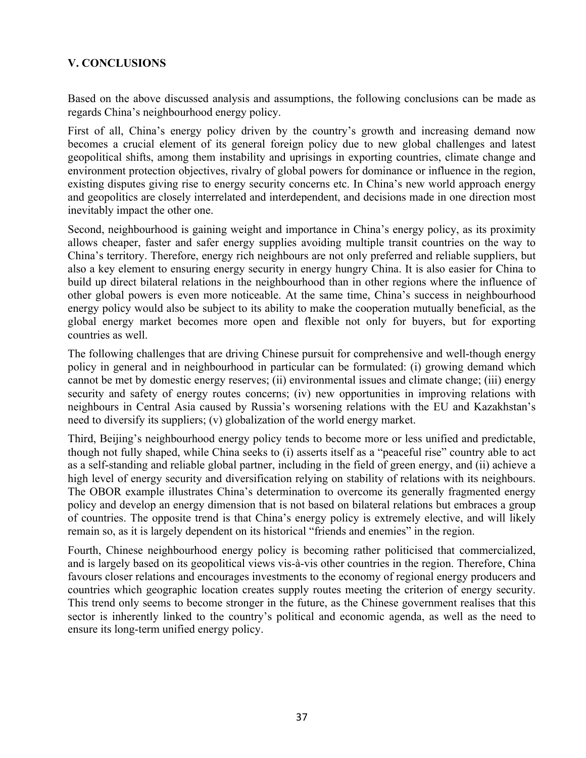## **V. CONCLUSIONS**

Based on the above discussed analysis and assumptions, the following conclusions can be made as regards China's neighbourhood energy policy.

First of all, China's energy policy driven by the country's growth and increasing demand now becomes a crucial element of its general foreign policy due to new global challenges and latest geopolitical shifts, among them instability and uprisings in exporting countries, climate change and environment protection objectives, rivalry of global powers for dominance or influence in the region, existing disputes giving rise to energy security concerns etc. In China's new world approach energy and geopolitics are closely interrelated and interdependent, and decisions made in one direction most inevitably impact the other one.

Second, neighbourhood is gaining weight and importance in China's energy policy, as its proximity allows cheaper, faster and safer energy supplies avoiding multiple transit countries on the way to China's territory. Therefore, energy rich neighbours are not only preferred and reliable suppliers, but also a key element to ensuring energy security in energy hungry China. It is also easier for China to build up direct bilateral relations in the neighbourhood than in other regions where the influence of other global powers is even more noticeable. At the same time, China's success in neighbourhood energy policy would also be subject to its ability to make the cooperation mutually beneficial, as the global energy market becomes more open and flexible not only for buyers, but for exporting countries as well.

The following challenges that are driving Chinese pursuit for comprehensive and well-though energy policy in general and in neighbourhood in particular can be formulated: (i) growing demand which cannot be met by domestic energy reserves; (ii) environmental issues and climate change; (iii) energy security and safety of energy routes concerns; (iv) new opportunities in improving relations with neighbours in Central Asia caused by Russia's worsening relations with the EU and Kazakhstan's need to diversify its suppliers; (v) globalization of the world energy market.

Third, Beijing's neighbourhood energy policy tends to become more or less unified and predictable, though not fully shaped, while China seeks to (i) asserts itself as a "peaceful rise" country able to act as a self-standing and reliable global partner, including in the field of green energy, and (ii) achieve a high level of energy security and diversification relying on stability of relations with its neighbours. The OBOR example illustrates China's determination to overcome its generally fragmented energy policy and develop an energy dimension that is not based on bilateral relations but embraces a group of countries. The opposite trend is that China's energy policy is extremely elective, and will likely remain so, as it is largely dependent on its historical "friends and enemies" in the region.

Fourth, Chinese neighbourhood energy policy is becoming rather politicised that commercialized, and is largely based on its geopolitical views vis-à-vis other countries in the region. Therefore, China favours closer relations and encourages investments to the economy of regional energy producers and countries which geographic location creates supply routes meeting the criterion of energy security. This trend only seems to become stronger in the future, as the Chinese government realises that this sector is inherently linked to the country's political and economic agenda, as well as the need to ensure its long-term unified energy policy.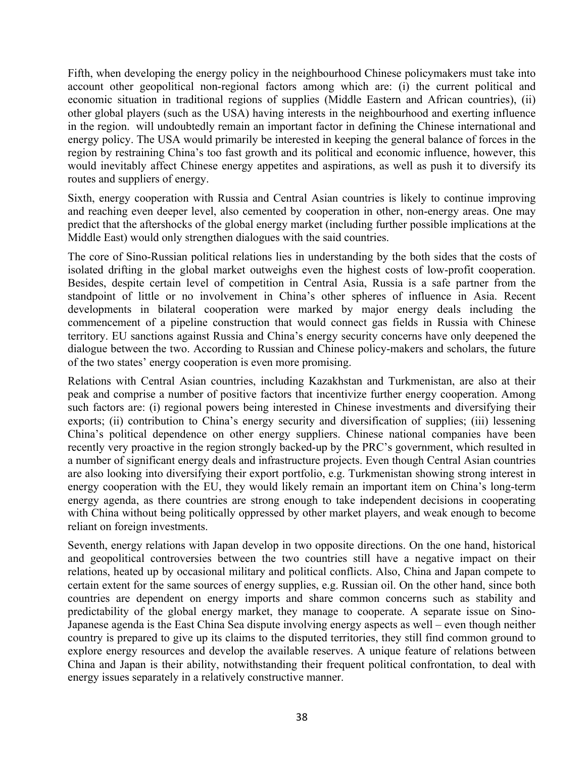Fifth, when developing the energy policy in the neighbourhood Chinese policymakers must take into account other geopolitical non-regional factors among which are: (i) the current political and economic situation in traditional regions of supplies (Middle Eastern and African countries), (ii) other global players (such as the USA) having interests in the neighbourhood and exerting influence in the region. will undoubtedly remain an important factor in defining the Chinese international and energy policy. The USA would primarily be interested in keeping the general balance of forces in the region by restraining China's too fast growth and its political and economic influence, however, this would inevitably affect Chinese energy appetites and aspirations, as well as push it to diversify its routes and suppliers of energy.

Sixth, energy cooperation with Russia and Central Asian countries is likely to continue improving and reaching even deeper level, also cemented by cooperation in other, non-energy areas. One may predict that the aftershocks of the global energy market (including further possible implications at the Middle East) would only strengthen dialogues with the said countries.

The core of Sino-Russian political relations lies in understanding by the both sides that the costs of isolated drifting in the global market outweighs even the highest costs of low-profit cooperation. Besides, despite certain level of competition in Central Asia, Russia is a safe partner from the standpoint of little or no involvement in China's other spheres of influence in Asia. Recent developments in bilateral cooperation were marked by major energy deals including the commencement of a pipeline construction that would connect gas fields in Russia with Chinese territory. EU sanctions against Russia and China's energy security concerns have only deepened the dialogue between the two. According to Russian and Chinese policy-makers and scholars, the future of the two states' energy cooperation is even more promising.

Relations with Central Asian countries, including Kazakhstan and Turkmenistan, are also at their peak and comprise a number of positive factors that incentivize further energy cooperation. Among such factors are: (i) regional powers being interested in Chinese investments and diversifying their exports; (ii) contribution to China's energy security and diversification of supplies; (iii) lessening China's political dependence on other energy suppliers. Chinese national companies have been recently very proactive in the region strongly backed-up by the PRC's government, which resulted in a number of significant energy deals and infrastructure projects. Even though Central Asian countries are also looking into diversifying their export portfolio, e.g. Turkmenistan showing strong interest in energy cooperation with the EU, they would likely remain an important item on China's long-term energy agenda, as there countries are strong enough to take independent decisions in cooperating with China without being politically oppressed by other market players, and weak enough to become reliant on foreign investments.

Seventh, energy relations with Japan develop in two opposite directions. On the one hand, historical and geopolitical controversies between the two countries still have a negative impact on their relations, heated up by occasional military and political conflicts. Also, China and Japan compete to certain extent for the same sources of energy supplies, e.g. Russian oil. On the other hand, since both countries are dependent on energy imports and share common concerns such as stability and predictability of the global energy market, they manage to cooperate. A separate issue on Sino-Japanese agenda is the East China Sea dispute involving energy aspects as well – even though neither country is prepared to give up its claims to the disputed territories, they still find common ground to explore energy resources and develop the available reserves. A unique feature of relations between China and Japan is their ability, notwithstanding their frequent political confrontation, to deal with energy issues separately in a relatively constructive manner.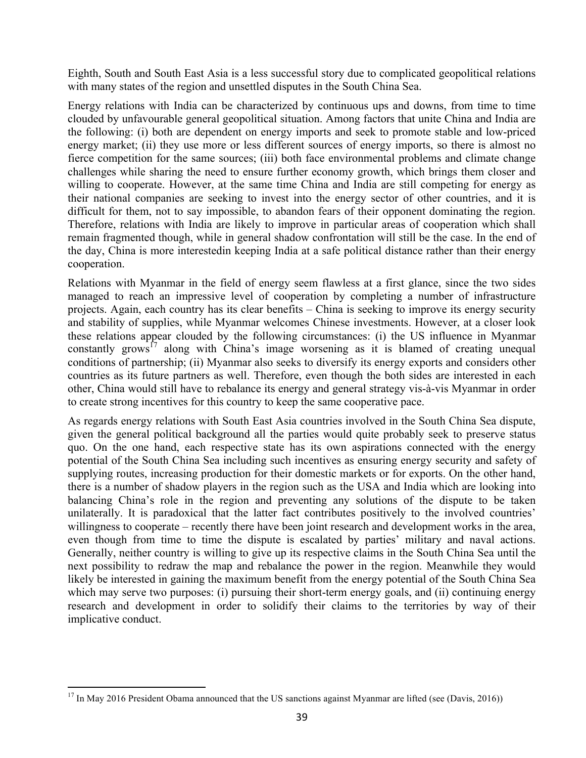Eighth, South and South East Asia is a less successful story due to complicated geopolitical relations with many states of the region and unsettled disputes in the South China Sea.

Energy relations with India can be characterized by continuous ups and downs, from time to time clouded by unfavourable general geopolitical situation. Among factors that unite China and India are the following: (i) both are dependent on energy imports and seek to promote stable and low-priced energy market; (ii) they use more or less different sources of energy imports, so there is almost no fierce competition for the same sources; (iii) both face environmental problems and climate change challenges while sharing the need to ensure further economy growth, which brings them closer and willing to cooperate. However, at the same time China and India are still competing for energy as their national companies are seeking to invest into the energy sector of other countries, and it is difficult for them, not to say impossible, to abandon fears of their opponent dominating the region. Therefore, relations with India are likely to improve in particular areas of cooperation which shall remain fragmented though, while in general shadow confrontation will still be the case. In the end of the day, China is more interestedin keeping India at a safe political distance rather than their energy cooperation.

Relations with Myanmar in the field of energy seem flawless at a first glance, since the two sides managed to reach an impressive level of cooperation by completing a number of infrastructure projects. Again, each country has its clear benefits – China is seeking to improve its energy security and stability of supplies, while Myanmar welcomes Chinese investments. However, at a closer look these relations appear clouded by the following circumstances: (i) the US influence in Myanmar constantly grows<sup>17</sup> along with China's image worsening as it is blamed of creating unequal conditions of partnership; (ii) Myanmar also seeks to diversify its energy exports and considers other countries as its future partners as well. Therefore, even though the both sides are interested in each other, China would still have to rebalance its energy and general strategy vis-à-vis Myanmar in order to create strong incentives for this country to keep the same cooperative pace.

As regards energy relations with South East Asia countries involved in the South China Sea dispute, given the general political background all the parties would quite probably seek to preserve status quo. On the one hand, each respective state has its own aspirations connected with the energy potential of the South China Sea including such incentives as ensuring energy security and safety of supplying routes, increasing production for their domestic markets or for exports. On the other hand, there is a number of shadow players in the region such as the USA and India which are looking into balancing China's role in the region and preventing any solutions of the dispute to be taken unilaterally. It is paradoxical that the latter fact contributes positively to the involved countries' willingness to cooperate – recently there have been joint research and development works in the area, even though from time to time the dispute is escalated by parties' military and naval actions. Generally, neither country is willing to give up its respective claims in the South China Sea until the next possibility to redraw the map and rebalance the power in the region. Meanwhile they would likely be interested in gaining the maximum benefit from the energy potential of the South China Sea which may serve two purposes: (i) pursuing their short-term energy goals, and (ii) continuing energy research and development in order to solidify their claims to the territories by way of their implicative conduct.

<sup>&</sup>lt;sup>17</sup> In May 2016 President Obama announced that the US sanctions against Myanmar are lifted (see (Davis, 2016))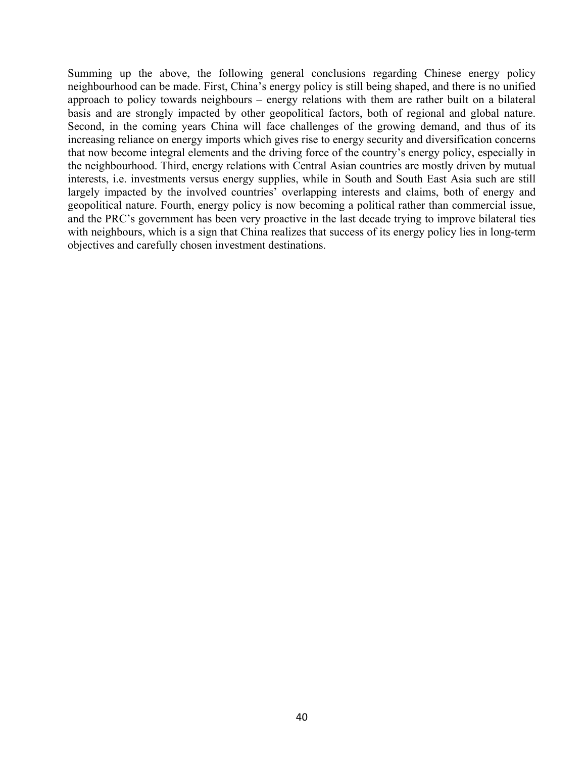Summing up the above, the following general conclusions regarding Chinese energy policy neighbourhood can be made. First, China's energy policy is still being shaped, and there is no unified approach to policy towards neighbours – energy relations with them are rather built on a bilateral basis and are strongly impacted by other geopolitical factors, both of regional and global nature. Second, in the coming years China will face challenges of the growing demand, and thus of its increasing reliance on energy imports which gives rise to energy security and diversification concerns that now become integral elements and the driving force of the country's energy policy, especially in the neighbourhood. Third, energy relations with Central Asian countries are mostly driven by mutual interests, i.e. investments versus energy supplies, while in South and South East Asia such are still largely impacted by the involved countries' overlapping interests and claims, both of energy and geopolitical nature. Fourth, energy policy is now becoming a political rather than commercial issue, and the PRC's government has been very proactive in the last decade trying to improve bilateral ties with neighbours, which is a sign that China realizes that success of its energy policy lies in long-term objectives and carefully chosen investment destinations.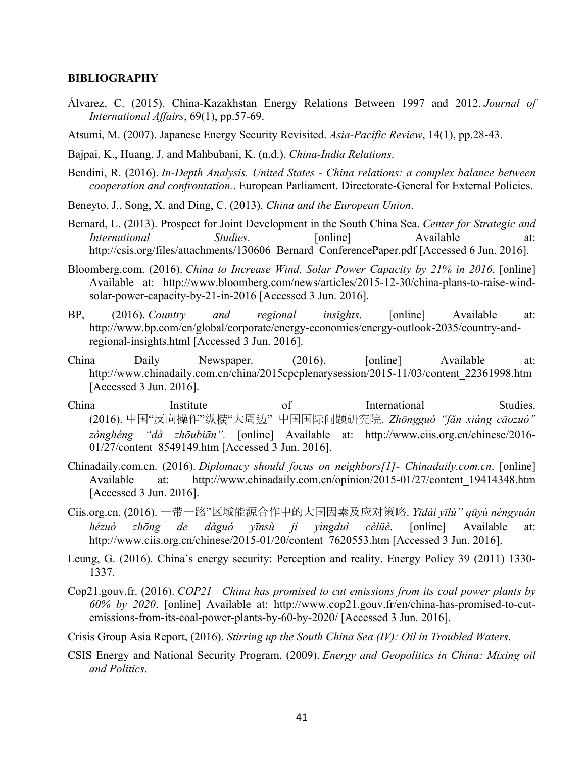#### **BIBLIOGRAPHY**

- Álvarez, C. (2015). China-Kazakhstan Energy Relations Between 1997 and 2012. *Journal of International Affairs*, 69(1), pp.57-69.
- Atsumi, M. (2007). Japanese Energy Security Revisited. *Asia-Pacific Review*, 14(1), pp.28-43.
- Bajpai, K., Huang, J. and Mahbubani, K. (n.d.). *China-India Relations*.
- Bendini, R. (2016). *In-Depth Analysis. United States China relations: a complex balance between cooperation and confrontation.*. European Parliament. Directorate-General for External Policies.
- Beneyto, J., Song, X. and Ding, C. (2013). *China and the European Union*.
- Bernard, L. (2013). Prospect for Joint Development in the South China Sea. *Center for Strategic and International Studies*. [online] Available at: http://csis.org/files/attachments/130606 Bernard ConferencePaper.pdf [Accessed 6 Jun. 2016].
- Bloomberg.com. (2016). *China to Increase Wind, Solar Power Capacity by 21% in 2016*. [online] Available at: http://www.bloomberg.com/news/articles/2015-12-30/china-plans-to-raise-windsolar-power-capacity-by-21-in-2016 [Accessed 3 Jun. 2016].
- BP, (2016). *Country and regional insights*. [online] Available at: http://www.bp.com/en/global/corporate/energy-economics/energy-outlook-2035/country-andregional-insights.html [Accessed 3 Jun. 2016].
- China Daily Newspaper. (2016). [online] Available at: http://www.chinadaily.com.cn/china/2015cpcplenarysession/2015-11/03/content\_22361998.htm [Accessed 3 Jun. 2016].
- China Institute of International Studies. (2016). 中国"反向操作"纵横"大周边"\_中国国际问题研究院. *Zhōngguó "fǎn xiàng cāozuò" zònghéng "dà zhōubiān".* [online] Available at: http://www.ciis.org.cn/chinese/2016- 01/27/content\_8549149.htm [Accessed 3 Jun. 2016].
- Chinadaily.com.cn. (2016). *Diplomacy should focus on neighbors[1]- Chinadaily.com.cn*. [online] Available at: http://www.chinadaily.com.cn/opinion/2015-01/27/content\_19414348.htm [Accessed 3 Jun. 2016].
- Ciis.org.cn. (2016). 一带一路"区域能源合作中的大国因素及应对策略. *Yīdài yīlù" qūyù néngyuán hézuò zhōng de dàguó yīnsù jí yìngduì cèlüè*. [online] Available at: http://www.ciis.org.cn/chinese/2015-01/20/content\_7620553.htm [Accessed 3 Jun. 2016].
- Leung, G. (2016). China's energy security: Perception and reality. Energy Policy 39 (2011) 1330- 1337.
- Cop21.gouv.fr. (2016). *COP21 | China has promised to cut emissions from its coal power plants by 60% by 2020*. [online] Available at: http://www.cop21.gouv.fr/en/china-has-promised-to-cutemissions-from-its-coal-power-plants-by-60-by-2020/ [Accessed 3 Jun. 2016].
- Crisis Group Asia Report, (2016). *Stirring up the South China Sea (IV): Oil in Troubled Waters*.
- CSIS Energy and National Security Program, (2009). *Energy and Geopolitics in China: Mixing oil and Politics*.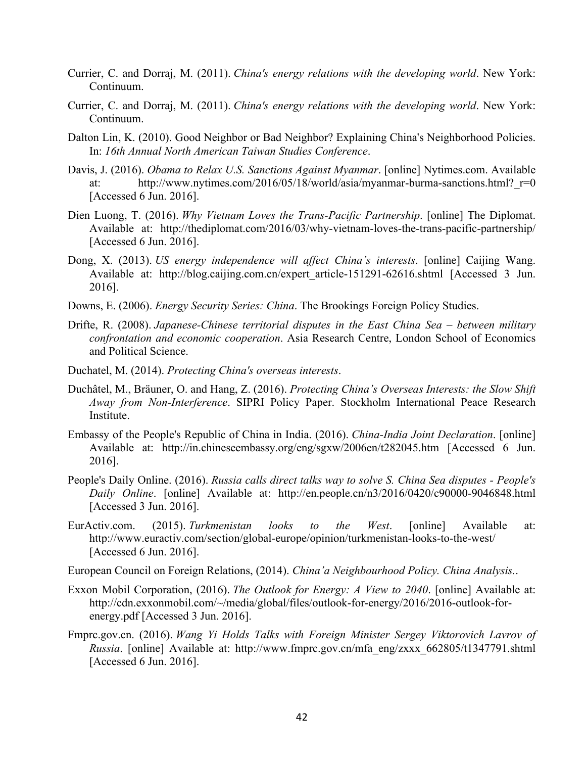- Currier, C. and Dorraj, M. (2011). *China's energy relations with the developing world*. New York: Continuum.
- Currier, C. and Dorraj, M. (2011). *China's energy relations with the developing world*. New York: Continuum.
- Dalton Lin, K. (2010). Good Neighbor or Bad Neighbor? Explaining China's Neighborhood Policies. In: *16th Annual North American Taiwan Studies Conference*.
- Davis, J. (2016). *Obama to Relax U.S. Sanctions Against Myanmar*. [online] Nytimes.com. Available at: http://www.nytimes.com/2016/05/18/world/asia/myanmar-burma-sanctions.html? r=0 [Accessed 6 Jun. 2016].
- Dien Luong, T. (2016). *Why Vietnam Loves the Trans-Pacific Partnership*. [online] The Diplomat. Available at: http://thediplomat.com/2016/03/why-vietnam-loves-the-trans-pacific-partnership/ [Accessed 6 Jun. 2016].
- Dong, X. (2013). *US energy independence will affect China's interests*. [online] Caijing Wang. Available at: http://blog.caijing.com.cn/expert\_article-151291-62616.shtml [Accessed 3 Jun. 2016].
- Downs, E. (2006). *Energy Security Series: China*. The Brookings Foreign Policy Studies.
- Drifte, R. (2008). *Japanese-Chinese territorial disputes in the East China Sea – between military confrontation and economic cooperation*. Asia Research Centre, London School of Economics and Political Science.
- Duchatel, M. (2014). *Protecting China's overseas interests*.
- Duchâtel, M., Bräuner, O. and Hang, Z. (2016). *Protecting China's Overseas Interests: the Slow Shift Away from Non-Interference*. SIPRI Policy Paper. Stockholm International Peace Research Institute.
- Embassy of the People's Republic of China in India. (2016). *China-India Joint Declaration*. [online] Available at: http://in.chineseembassy.org/eng/sgxw/2006en/t282045.htm [Accessed 6 Jun. 2016].
- People's Daily Online. (2016). *Russia calls direct talks way to solve S. China Sea disputes People's Daily Online*. [online] Available at: http://en.people.cn/n3/2016/0420/c90000-9046848.html [Accessed 3 Jun. 2016].
- EurActiv.com. (2015). *Turkmenistan looks to the West*. [online] Available at: http://www.euractiv.com/section/global-europe/opinion/turkmenistan-looks-to-the-west/ [Accessed 6 Jun. 2016].

European Council on Foreign Relations, (2014). *China'a Neighbourhood Policy. China Analysis.*.

- Exxon Mobil Corporation, (2016). *The Outlook for Energy: A View to 2040*. [online] Available at: http://cdn.exxonmobil.com/~/media/global/files/outlook-for-energy/2016/2016-outlook-forenergy.pdf [Accessed 3 Jun. 2016].
- Fmprc.gov.cn. (2016). *Wang Yi Holds Talks with Foreign Minister Sergey Viktorovich Lavrov of Russia*. [online] Available at: http://www.fmprc.gov.cn/mfa\_eng/zxxx\_662805/t1347791.shtml [Accessed 6 Jun. 2016].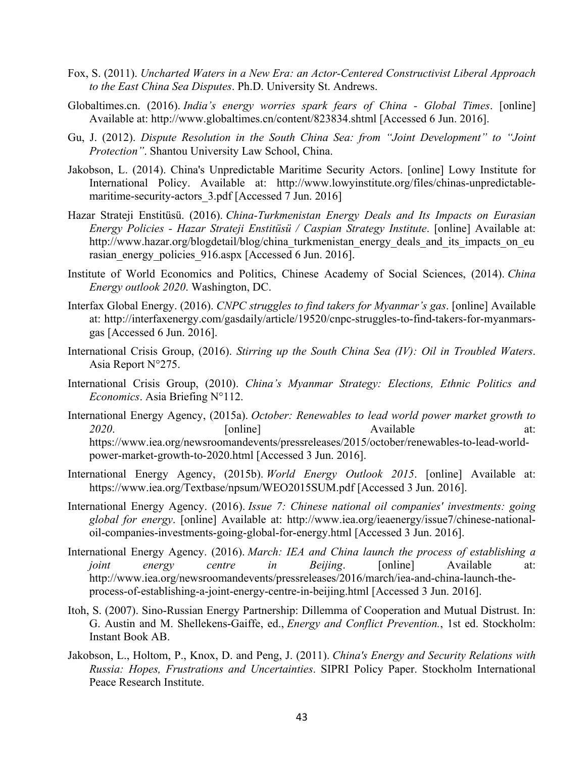- Fox, S. (2011). *Uncharted Waters in a New Era: an Actor-Centered Constructivist Liberal Approach to the East China Sea Disputes*. Ph.D. University St. Andrews.
- Globaltimes.cn. (2016). *India's energy worries spark fears of China Global Times*. [online] Available at: http://www.globaltimes.cn/content/823834.shtml [Accessed 6 Jun. 2016].
- Gu, J. (2012). *Dispute Resolution in the South China Sea: from "Joint Development" to "Joint Protection"*. Shantou University Law School, China.
- Jakobson, L. (2014). China's Unpredictable Maritime Security Actors. [online] Lowy Institute for International Policy. Available at: http://www.lowyinstitute.org/files/chinas-unpredictablemaritime-security-actors 3.pdf [Accessed 7 Jun. 2016]
- Hazar Strateji Enstitüsü. (2016). *China-Turkmenistan Energy Deals and Its Impacts on Eurasian Energy Policies - Hazar Strateji Enstitüsü / Caspian Strategy Institute*. [online] Available at: http://www.hazar.org/blogdetail/blog/china\_turkmenistan\_energy\_deals\_and\_its\_impacts\_on\_eu rasian\_energy\_policies\_916.aspx [Accessed 6 Jun. 2016].
- Institute of World Economics and Politics, Chinese Academy of Social Sciences, (2014). *China Energy outlook 2020*. Washington, DC.
- Interfax Global Energy. (2016). *CNPC struggles to find takers for Myanmar's gas*. [online] Available at: http://interfaxenergy.com/gasdaily/article/19520/cnpc-struggles-to-find-takers-for-myanmarsgas [Accessed 6 Jun. 2016].
- International Crisis Group, (2016). *Stirring up the South China Sea (IV): Oil in Troubled Waters*. Asia Report N°275.
- International Crisis Group, (2010). *China's Myanmar Strategy: Elections, Ethnic Politics and Economics*. Asia Briefing N°112.
- International Energy Agency, (2015a). *October: Renewables to lead world power market growth to*  2020. **Continue** [online] **Available** at: https://www.iea.org/newsroomandevents/pressreleases/2015/october/renewables-to-lead-worldpower-market-growth-to-2020.html [Accessed 3 Jun. 2016].
- International Energy Agency, (2015b). *World Energy Outlook 2015*. [online] Available at: https://www.iea.org/Textbase/npsum/WEO2015SUM.pdf [Accessed 3 Jun. 2016].
- International Energy Agency. (2016). *Issue 7: Chinese national oil companies' investments: going global for energy*. [online] Available at: http://www.iea.org/ieaenergy/issue7/chinese-nationaloil-companies-investments-going-global-for-energy.html [Accessed 3 Jun. 2016].
- International Energy Agency. (2016). *March: IEA and China launch the process of establishing a joint energy centre in Beijing*. [online] Available at: http://www.iea.org/newsroomandevents/pressreleases/2016/march/iea-and-china-launch-theprocess-of-establishing-a-joint-energy-centre-in-beijing.html [Accessed 3 Jun. 2016].
- Itoh, S. (2007). Sino-Russian Energy Partnership: Dillemma of Cooperation and Mutual Distrust. In: G. Austin and M. Shellekens-Gaiffe, ed., *Energy and Conflict Prevention.*, 1st ed. Stockholm: Instant Book AB.
- Jakobson, L., Holtom, P., Knox, D. and Peng, J. (2011). *China's Energy and Security Relations with Russia: Hopes, Frustrations and Uncertainties*. SIPRI Policy Paper. Stockholm International Peace Research Institute.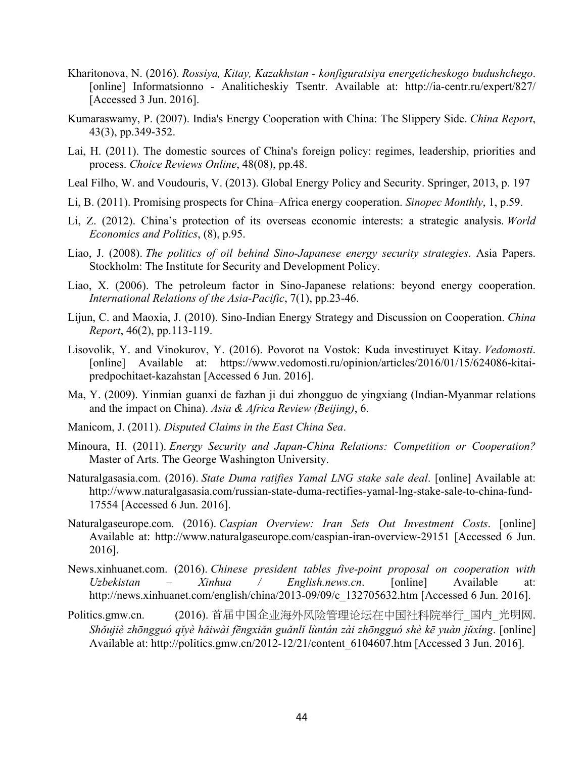- Kharitonova, N. (2016). *Rossiya, Kitay, Kazakhstan konfiguratsiya energeticheskogo budushchego*. [online] Informatsionno - Analiticheskiy Tsentr. Available at: http://ia-centr.ru/expert/827/ [Accessed 3 Jun. 2016].
- Kumaraswamy, P. (2007). India's Energy Cooperation with China: The Slippery Side. *China Report*, 43(3), pp.349-352.
- Lai, H. (2011). The domestic sources of China's foreign policy: regimes, leadership, priorities and process. *Choice Reviews Online*, 48(08), pp.48.
- Leal Filho, W. and Voudouris, V. (2013). Global Energy Policy and Security. Springer, 2013, p. 197
- Li, B. (2011). Promising prospects for China–Africa energy cooperation. *Sinopec Monthly*, 1, p.59.
- Li, Z. (2012). China's protection of its overseas economic interests: a strategic analysis. *World Economics and Politics*, (8), p.95.
- Liao, J. (2008). *The politics of oil behind Sino-Japanese energy security strategies*. Asia Papers. Stockholm: The Institute for Security and Development Policy.
- Liao, X. (2006). The petroleum factor in Sino-Japanese relations: beyond energy cooperation. *International Relations of the Asia-Pacific*, 7(1), pp.23-46.
- Lijun, C. and Maoxia, J. (2010). Sino-Indian Energy Strategy and Discussion on Cooperation. *China Report*, 46(2), pp.113-119.
- Lisovolik, Y. and Vinokurov, Y. (2016). Povorot na Vostok: Kuda investiruyet Kitay. *Vedomosti*. [online] Available at: https://www.vedomosti.ru/opinion/articles/2016/01/15/624086-kitaipredpochitaet-kazahstan [Accessed 6 Jun. 2016].
- Ma, Y. (2009). Yinmian guanxi de fazhan ji dui zhongguo de yingxiang (Indian-Myanmar relations and the impact on China). *Asia & Africa Review (Beijing)*, 6.
- Manicom, J. (2011). *Disputed Claims in the East China Sea*.
- Minoura, H. (2011). *Energy Security and Japan-China Relations: Competition or Cooperation?* Master of Arts. The George Washington University.
- Naturalgasasia.com. (2016). *State Duma ratifies Yamal LNG stake sale deal*. [online] Available at: http://www.naturalgasasia.com/russian-state-duma-rectifies-yamal-lng-stake-sale-to-china-fund-17554 [Accessed 6 Jun. 2016].
- Naturalgaseurope.com. (2016). *Caspian Overview: Iran Sets Out Investment Costs*. [online] Available at: http://www.naturalgaseurope.com/caspian-iran-overview-29151 [Accessed 6 Jun. 2016].
- News.xinhuanet.com. (2016). *Chinese president tables five-point proposal on cooperation with Uzbekistan – Xinhua / English.news.cn*. [online] Available at: http://news.xinhuanet.com/english/china/2013-09/09/c\_132705632.htm [Accessed 6 Jun. 2016].
- Politics.gmw.cn. (2016). 首届中国企业海外风险管理论坛在中国社科院举行\_国内\_光明网. Shŏujiè zhōngguó qĭyè hǎiwài fēngxiǎn guǎnlǐ lùntán zài zhōngguó shè kē yuàn jǔxíng. [online] Available at: http://politics.gmw.cn/2012-12/21/content\_6104607.htm [Accessed 3 Jun. 2016].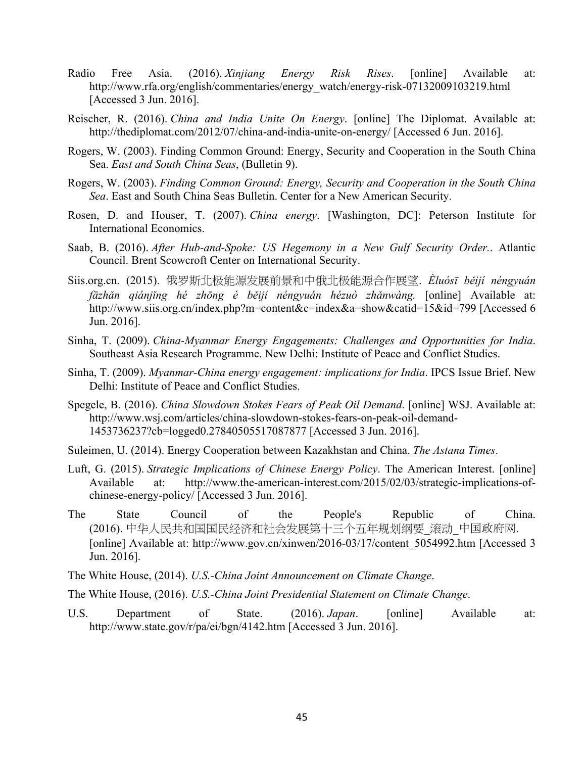- Radio Free Asia. (2016). *Xinjiang Energy Risk Rises*. [online] Available at: http://www.rfa.org/english/commentaries/energy\_watch/energy-risk-07132009103219.html [Accessed 3 Jun. 2016].
- Reischer, R. (2016). *China and India Unite On Energy*. [online] The Diplomat. Available at: http://thediplomat.com/2012/07/china-and-india-unite-on-energy/ [Accessed 6 Jun. 2016].
- Rogers, W. (2003). Finding Common Ground: Energy, Security and Cooperation in the South China Sea. *East and South China Seas*, (Bulletin 9).
- Rogers, W. (2003). *Finding Common Ground: Energy, Security and Cooperation in the South China Sea*. East and South China Seas Bulletin. Center for a New American Security.
- Rosen, D. and Houser, T. (2007). *China energy*. [Washington, DC]: Peterson Institute for International Economics.
- Saab, B. (2016). *After Hub-and-Spoke: US Hegemony in a New Gulf Security Order.*. Atlantic Council. Brent Scowcroft Center on International Security.
- Siis.org.cn. (2015). 俄罗斯北极能源发展前景和中俄北极能源合作展望. *Èluósī běijí néngyuán fāzhǎn qiánjǐng hé zhōng é běijí néngyuán hézuò zhǎnwàng.* [online] Available at: http://www.siis.org.cn/index.php?m=content&c=index&a=show&catid=15&id=799 [Accessed 6 Jun. 2016].
- Sinha, T. (2009). *China-Myanmar Energy Engagements: Challenges and Opportunities for India*. Southeast Asia Research Programme. New Delhi: Institute of Peace and Conflict Studies.
- Sinha, T. (2009). *Myanmar-China energy engagement: implications for India*. IPCS Issue Brief. New Delhi: Institute of Peace and Conflict Studies.
- Spegele, B. (2016). *China Slowdown Stokes Fears of Peak Oil Demand*. [online] WSJ. Available at: http://www.wsj.com/articles/china-slowdown-stokes-fears-on-peak-oil-demand-1453736237?cb=logged0.27840505517087877 [Accessed 3 Jun. 2016].
- Suleimen, U. (2014). Energy Cooperation between Kazakhstan and China. *The Astana Times*.
- Luft, G. (2015). *Strategic Implications of Chinese Energy Policy*. The American Interest. [online] Available at: http://www.the-american-interest.com/2015/02/03/strategic-implications-ofchinese-energy-policy/ [Accessed 3 Jun. 2016].
- The State Council of the People's Republic of China. (2016). 中华人民共和国国民经济和社会发展第十三个五年规划纲要\_滚动\_中国政府网. [online] Available at: http://www.gov.cn/xinwen/2016-03/17/content\_5054992.htm [Accessed 3 Jun. 2016].
- The White House, (2014). *U.S.-China Joint Announcement on Climate Change*.
- The White House, (2016). *U.S.-China Joint Presidential Statement on Climate Change*.
- U.S. Department of State. (2016). *Japan*. [online] Available at: http://www.state.gov/r/pa/ei/bgn/4142.htm [Accessed 3 Jun. 2016].